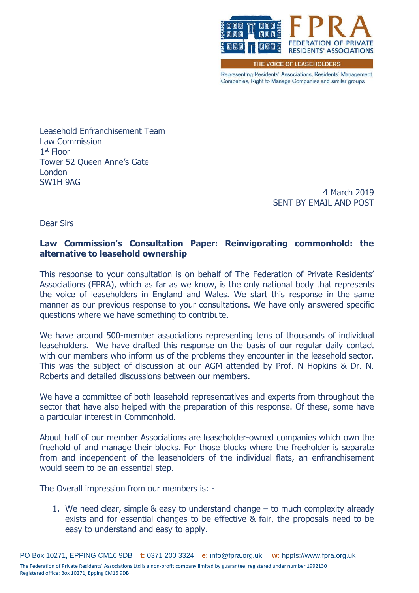

THE VOICE OF LEASEHOLDERS

Representing Residents' Associations, Residents' Management Companies, Right to Manage Companies and similar groups

Leasehold Enfranchisement Team Law Commission 1 st Floor Tower 52 Queen Anne's Gate London SW1H 9AG

> 4 March 2019 SENT BY EMAIL AND POST

Dear Sirs

# **Law Commission's Consultation Paper: Reinvigorating commonhold: the alternative to leasehold ownership**

This response to your consultation is on behalf of The Federation of Private Residents' Associations (FPRA), which as far as we know, is the only national body that represents the voice of leaseholders in England and Wales. We start this response in the same manner as our previous response to your consultations. We have only answered specific questions where we have something to contribute.

We have around 500-member associations representing tens of thousands of individual leaseholders. We have drafted this response on the basis of our regular daily contact with our members who inform us of the problems they encounter in the leasehold sector. This was the subject of discussion at our AGM attended by Prof. N Hopkins & Dr. N. Roberts and detailed discussions between our members.

We have a committee of both leasehold representatives and experts from throughout the sector that have also helped with the preparation of this response. Of these, some have a particular interest in Commonhold.

About half of our member Associations are leaseholder-owned companies which own the freehold of and manage their blocks. For those blocks where the freeholder is separate from and independent of the leaseholders of the individual flats, an enfranchisement would seem to be an essential step.

The Overall impression from our members is: -

1. We need clear, simple & easy to understand change – to much complexity already exists and for essential changes to be effective & fair, the proposals need to be easy to understand and easy to apply.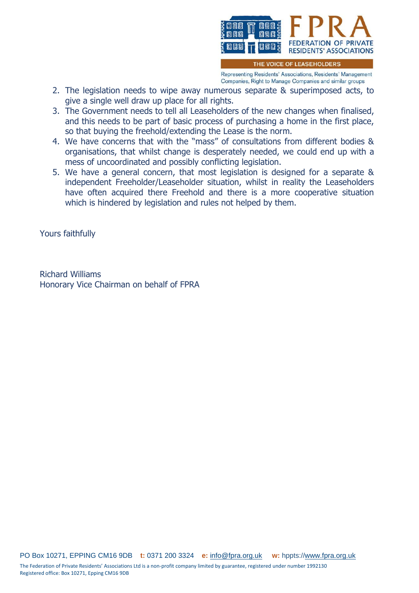

THE VOICE OF LEASEHOLDERS

Representing Residents' Associations, Residents' Management Companies, Right to Manage Companies and similar groups

- 2. The legislation needs to wipe away numerous separate & superimposed acts, to give a single well draw up place for all rights.
- 3. The Government needs to tell all Leaseholders of the new changes when finalised, and this needs to be part of basic process of purchasing a home in the first place, so that buying the freehold/extending the Lease is the norm.
- 4. We have concerns that with the "mass" of consultations from different bodies & organisations, that whilst change is desperately needed, we could end up with a mess of uncoordinated and possibly conflicting legislation.
- 5. We have a general concern, that most legislation is designed for a separate & independent Freeholder/Leaseholder situation, whilst in reality the Leaseholders have often acquired there Freehold and there is a more cooperative situation which is hindered by legislation and rules not helped by them.

Yours faithfully

Richard Williams Honorary Vice Chairman on behalf of FPRA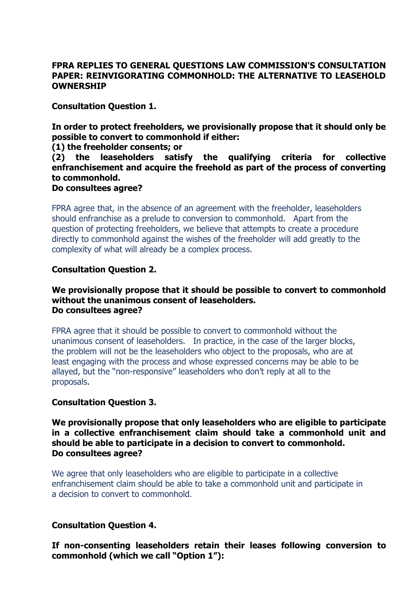## **FPRA REPLIES TO GENERAL QUESTIONS LAW COMMISSION'S CONSULTATION PAPER: REINVIGORATING COMMONHOLD: THE ALTERNATIVE TO LEASEHOLD OWNERSHIP**

**Consultation Question 1.** 

**In order to protect freeholders, we provisionally propose that it should only be possible to convert to commonhold if either:** 

**(1) the freeholder consents; or** 

**(2) the leaseholders satisfy the qualifying criteria for collective enfranchisement and acquire the freehold as part of the process of converting to commonhold.** 

### **Do consultees agree?**

FPRA agree that, in the absence of an agreement with the freeholder, leaseholders should enfranchise as a prelude to conversion to commonhold. Apart from the question of protecting freeholders, we believe that attempts to create a procedure directly to commonhold against the wishes of the freeholder will add greatly to the complexity of what will already be a complex process.

## **Consultation Question 2.**

### **We provisionally propose that it should be possible to convert to commonhold without the unanimous consent of leaseholders. Do consultees agree?**

FPRA agree that it should be possible to convert to commonhold without the unanimous consent of leaseholders. In practice, in the case of the larger blocks, the problem will not be the leaseholders who object to the proposals, who are at least engaging with the process and whose expressed concerns may be able to be allayed, but the "non-responsive" leaseholders who don't reply at all to the proposals.

### **Consultation Question 3.**

### **We provisionally propose that only leaseholders who are eligible to participate in a collective enfranchisement claim should take a commonhold unit and should be able to participate in a decision to convert to commonhold. Do consultees agree?**

We agree that only leaseholders who are eligible to participate in a collective enfranchisement claim should be able to take a commonhold unit and participate in a decision to convert to commonhold.

### **Consultation Question 4.**

**If non-consenting leaseholders retain their leases following conversion to commonhold (which we call "Option 1"):**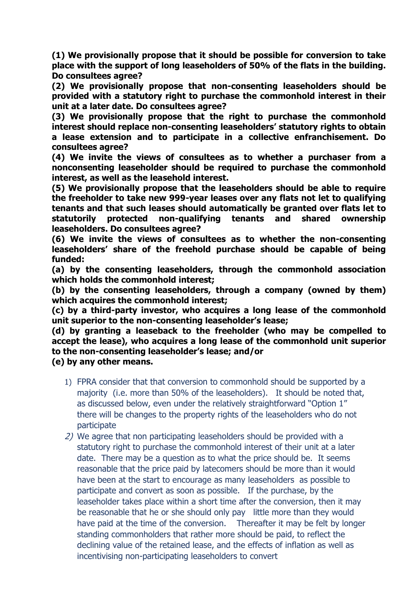**(1) We provisionally propose that it should be possible for conversion to take place with the support of long leaseholders of 50% of the flats in the building. Do consultees agree?** 

**(2) We provisionally propose that non-consenting leaseholders should be provided with a statutory right to purchase the commonhold interest in their unit at a later date. Do consultees agree?** 

**(3) We provisionally propose that the right to purchase the commonhold interest should replace non-consenting leaseholders' statutory rights to obtain a lease extension and to participate in a collective enfranchisement. Do consultees agree?** 

**(4) We invite the views of consultees as to whether a purchaser from a nonconsenting leaseholder should be required to purchase the commonhold interest, as well as the leasehold interest.** 

**(5) We provisionally propose that the leaseholders should be able to require the freeholder to take new 999-year leases over any flats not let to qualifying tenants and that such leases should automatically be granted over flats let to statutorily protected non-qualifying tenants and shared ownership leaseholders. Do consultees agree?** 

**(6) We invite the views of consultees as to whether the non-consenting leaseholders' share of the freehold purchase should be capable of being funded:** 

**(a) by the consenting leaseholders, through the commonhold association which holds the commonhold interest;** 

**(b) by the consenting leaseholders, through a company (owned by them) which acquires the commonhold interest;** 

**(c) by a third-party investor, who acquires a long lease of the commonhold unit superior to the non-consenting leaseholder's lease;** 

**(d) by granting a leaseback to the freeholder (who may be compelled to accept the lease), who acquires a long lease of the commonhold unit superior to the non-consenting leaseholder's lease; and/or** 

**(e) by any other means.** 

- 1) FPRA consider that that conversion to commonhold should be supported by a majority (i.e. more than 50% of the leaseholders). It should be noted that, as discussed below, even under the relatively straightforward "Option 1" there will be changes to the property rights of the leaseholders who do not participate
- 2) We agree that non participating leaseholders should be provided with a statutory right to purchase the commonhold interest of their unit at a later date. There may be a question as to what the price should be. It seems reasonable that the price paid by latecomers should be more than it would have been at the start to encourage as many leaseholders as possible to participate and convert as soon as possible. If the purchase, by the leaseholder takes place within a short time after the conversion, then it may be reasonable that he or she should only pay little more than they would have paid at the time of the conversion. Thereafter it may be felt by longer standing commonholders that rather more should be paid, to reflect the declining value of the retained lease, and the effects of inflation as well as incentivising non-participating leaseholders to convert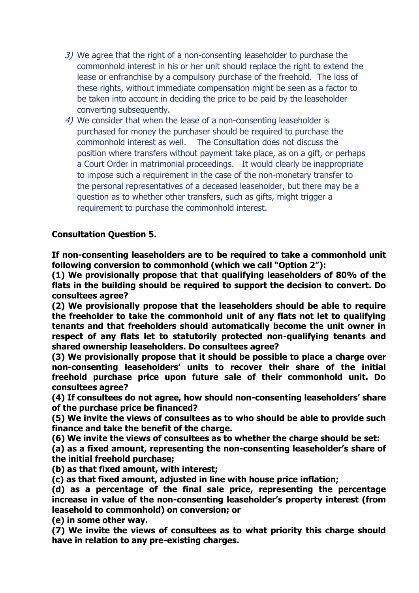- 3) We agree that the right of a non-consenting leaseholder to purchase the commonhold interest in his or her unit should replace the right to extend the lease or enfranchise by a compulsory purchase of the freehold. The loss of these rights, without immediate compensation might be seen as a factor to be taken into account in deciding the price to be paid by the leaseholder converting subsequently.
- 4) We consider that when the lease of a non-consenting leaseholder is purchased for money the purchaser should be required to purchase the commonhold interest as well. The Consultation does not discuss the position where transfers without payment take place, as on a gift, or perhaps a Court Order in matrimonial proceedings. It would clearly be inappropriate to impose such a requirement in the case of the non-monetary transfer to the personal representatives of a deceased leaseholder, but there may be a question as to whether other transfers, such as gifts, might trigger a requirement to purchase the commonhold interest.

# **Consultation Question 5.**

**If non-consenting leaseholders are to be required to take a commonhold unit following conversion to commonhold (which we call "Option 2"):** 

**(1) We provisionally propose that that qualifying leaseholders of 80% of the flats in the building should be required to support the decision to convert. Do consultees agree?** 

**(2) We provisionally propose that the leaseholders should be able to require the freeholder to take the commonhold unit of any flats not let to qualifying tenants and that freeholders should automatically become the unit owner in respect of any flats let to statutorily protected non-qualifying tenants and shared ownership leaseholders. Do consultees agree?** 

**(3) We provisionally propose that it should be possible to place a charge over non-consenting leaseholders' units to recover their share of the initial freehold purchase price upon future sale of their commonhold unit. Do consultees agree?** 

**(4) If consultees do not agree, how should non-consenting leaseholders' share of the purchase price be financed?** 

**(5) We invite the views of consultees as to who should be able to provide such finance and take the benefit of the charge.** 

**(6) We invite the views of consultees as to whether the charge should be set:** 

**(a) as a fixed amount, representing the non-consenting leaseholder's share of the initial freehold purchase;** 

**(b) as that fixed amount, with interest;** 

**(c) as that fixed amount, adjusted in line with house price inflation;** 

**(d) as a percentage of the final sale price, representing the percentage increase in value of the non-consenting leaseholder's property interest (from leasehold to commonhold) on conversion; or** 

**(e) in some other way.** 

**(7) We invite the views of consultees as to what priority this charge should have in relation to any pre-existing charges.**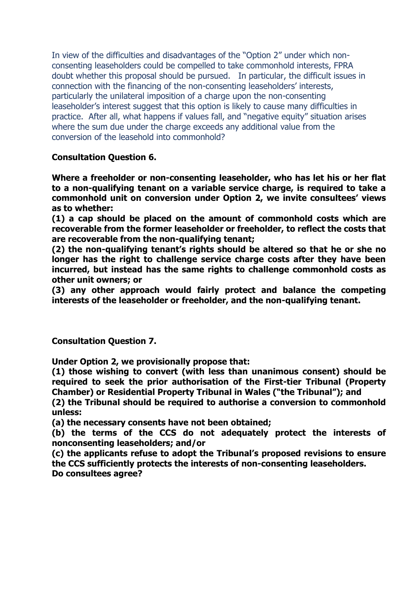In view of the difficulties and disadvantages of the "Option 2" under which nonconsenting leaseholders could be compelled to take commonhold interests, FPRA doubt whether this proposal should be pursued. In particular, the difficult issues in connection with the financing of the non-consenting leaseholders' interests, particularly the unilateral imposition of a charge upon the non-consenting leaseholder's interest suggest that this option is likely to cause many difficulties in practice. After all, what happens if values fall, and "negative equity" situation arises where the sum due under the charge exceeds any additional value from the conversion of the leasehold into commonhold?

**Consultation Question 6.** 

**Where a freeholder or non-consenting leaseholder, who has let his or her flat to a non-qualifying tenant on a variable service charge, is required to take a commonhold unit on conversion under Option 2, we invite consultees' views as to whether:** 

**(1) a cap should be placed on the amount of commonhold costs which are recoverable from the former leaseholder or freeholder, to reflect the costs that are recoverable from the non-qualifying tenant;** 

**(2) the non-qualifying tenant's rights should be altered so that he or she no longer has the right to challenge service charge costs after they have been incurred, but instead has the same rights to challenge commonhold costs as other unit owners; or** 

**(3) any other approach would fairly protect and balance the competing interests of the leaseholder or freeholder, and the non-qualifying tenant.** 

**Consultation Question 7.** 

**Under Option 2, we provisionally propose that:** 

**(1) those wishing to convert (with less than unanimous consent) should be required to seek the prior authorisation of the First-tier Tribunal (Property Chamber) or Residential Property Tribunal in Wales ("the Tribunal"); and** 

**(2) the Tribunal should be required to authorise a conversion to commonhold unless:** 

**(a) the necessary consents have not been obtained;** 

**(b) the terms of the CCS do not adequately protect the interests of nonconsenting leaseholders; and/or** 

**(c) the applicants refuse to adopt the Tribunal's proposed revisions to ensure the CCS sufficiently protects the interests of non-consenting leaseholders. Do consultees agree?**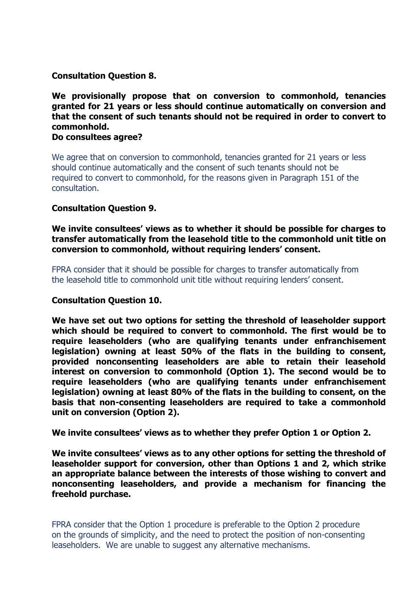**Consultation Question 8.** 

**We provisionally propose that on conversion to commonhold, tenancies granted for 21 years or less should continue automatically on conversion and that the consent of such tenants should not be required in order to convert to commonhold.** 

**Do consultees agree?** 

We agree that on conversion to commonhold, tenancies granted for 21 years or less should continue automatically and the consent of such tenants should not be required to convert to commonhold, for the reasons given in Paragraph 151 of the consultation.

## **Consultation Question 9.**

**We invite consultees' views as to whether it should be possible for charges to transfer automatically from the leasehold title to the commonhold unit title on conversion to commonhold, without requiring lenders' consent.** 

FPRA consider that it should be possible for charges to transfer automatically from the leasehold title to commonhold unit title without requiring lenders' consent.

### **Consultation Question 10.**

**We have set out two options for setting the threshold of leaseholder support which should be required to convert to commonhold. The first would be to require leaseholders (who are qualifying tenants under enfranchisement legislation) owning at least 50% of the flats in the building to consent, provided nonconsenting leaseholders are able to retain their leasehold interest on conversion to commonhold (Option 1). The second would be to require leaseholders (who are qualifying tenants under enfranchisement legislation) owning at least 80% of the flats in the building to consent, on the basis that non-consenting leaseholders are required to take a commonhold unit on conversion (Option 2).** 

**We invite consultees' views as to whether they prefer Option 1 or Option 2.** 

**We invite consultees' views as to any other options for setting the threshold of leaseholder support for conversion, other than Options 1 and 2, which strike an appropriate balance between the interests of those wishing to convert and nonconsenting leaseholders, and provide a mechanism for financing the freehold purchase.** 

FPRA consider that the Option 1 procedure is preferable to the Option 2 procedure on the grounds of simplicity, and the need to protect the position of non-consenting leaseholders. We are unable to suggest any alternative mechanisms.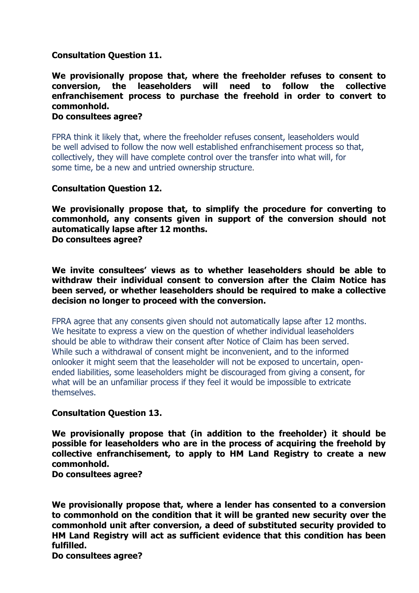## **Consultation Question 11.**

**We provisionally propose that, where the freeholder refuses to consent to conversion, the leaseholders will need to follow the collective enfranchisement process to purchase the freehold in order to convert to commonhold.** 

#### **Do consultees agree?**

FPRA think it likely that, where the freeholder refuses consent, leaseholders would be well advised to follow the now well established enfranchisement process so that, collectively, they will have complete control over the transfer into what will, for some time, be a new and untried ownership structure.

### **Consultation Question 12.**

**We provisionally propose that, to simplify the procedure for converting to commonhold, any consents given in support of the conversion should not automatically lapse after 12 months.** 

**Do consultees agree?** 

**We invite consultees' views as to whether leaseholders should be able to withdraw their individual consent to conversion after the Claim Notice has been served, or whether leaseholders should be required to make a collective decision no longer to proceed with the conversion.** 

FPRA agree that any consents given should not automatically lapse after 12 months. We hesitate to express a view on the question of whether individual leaseholders should be able to withdraw their consent after Notice of Claim has been served. While such a withdrawal of consent might be inconvenient, and to the informed onlooker it might seem that the leaseholder will not be exposed to uncertain, openended liabilities, some leaseholders might be discouraged from giving a consent, for what will be an unfamiliar process if they feel it would be impossible to extricate themselves.

### **Consultation Question 13.**

**We provisionally propose that (in addition to the freeholder) it should be possible for leaseholders who are in the process of acquiring the freehold by collective enfranchisement, to apply to HM Land Registry to create a new commonhold.** 

**Do consultees agree?** 

**We provisionally propose that, where a lender has consented to a conversion to commonhold on the condition that it will be granted new security over the commonhold unit after conversion, a deed of substituted security provided to HM Land Registry will act as sufficient evidence that this condition has been fulfilled.** 

**Do consultees agree?**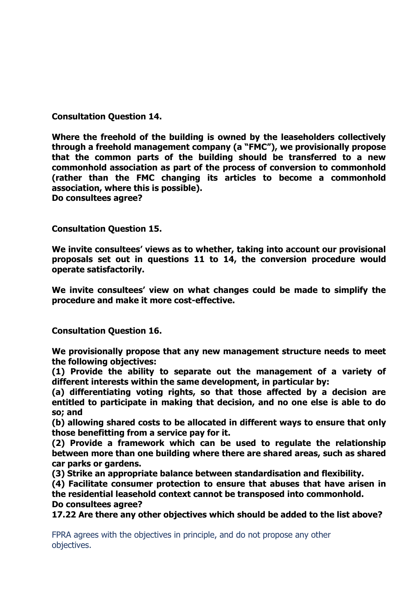**Consultation Question 14.** 

**Where the freehold of the building is owned by the leaseholders collectively through a freehold management company (a "FMC"), we provisionally propose that the common parts of the building should be transferred to a new commonhold association as part of the process of conversion to commonhold (rather than the FMC changing its articles to become a commonhold association, where this is possible). Do consultees agree?** 

**Consultation Question 15.** 

**We invite consultees' views as to whether, taking into account our provisional proposals set out in questions 11 to 14, the conversion procedure would operate satisfactorily.** 

**We invite consultees' view on what changes could be made to simplify the procedure and make it more cost-effective.** 

**Consultation Question 16.** 

**We provisionally propose that any new management structure needs to meet the following objectives:** 

**(1) Provide the ability to separate out the management of a variety of different interests within the same development, in particular by:** 

**(a) differentiating voting rights, so that those affected by a decision are entitled to participate in making that decision, and no one else is able to do so; and** 

**(b) allowing shared costs to be allocated in different ways to ensure that only those benefitting from a service pay for it.** 

**(2) Provide a framework which can be used to regulate the relationship between more than one building where there are shared areas, such as shared car parks or gardens.** 

**(3) Strike an appropriate balance between standardisation and flexibility.** 

**(4) Facilitate consumer protection to ensure that abuses that have arisen in the residential leasehold context cannot be transposed into commonhold.** 

**Do consultees agree?** 

**17.22 Are there any other objectives which should be added to the list above?** 

FPRA agrees with the objectives in principle, and do not propose any other objectives.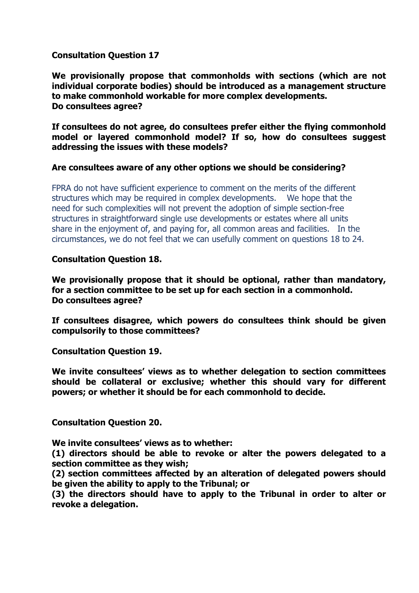## **Consultation Question 17**

**We provisionally propose that commonholds with sections (which are not individual corporate bodies) should be introduced as a management structure to make commonhold workable for more complex developments. Do consultees agree?** 

**If consultees do not agree, do consultees prefer either the flying commonhold model or layered commonhold model? If so, how do consultees suggest addressing the issues with these models?** 

### **Are consultees aware of any other options we should be considering?**

FPRA do not have sufficient experience to comment on the merits of the different structures which may be required in complex developments. We hope that the need for such complexities will not prevent the adoption of simple section-free structures in straightforward single use developments or estates where all units share in the enjoyment of, and paying for, all common areas and facilities. In the circumstances, we do not feel that we can usefully comment on questions 18 to 24.

## **Consultation Question 18.**

**We provisionally propose that it should be optional, rather than mandatory, for a section committee to be set up for each section in a commonhold. Do consultees agree?** 

**If consultees disagree, which powers do consultees think should be given compulsorily to those committees?** 

**Consultation Question 19.** 

**We invite consultees' views as to whether delegation to section committees should be collateral or exclusive; whether this should vary for different powers; or whether it should be for each commonhold to decide.** 

**Consultation Question 20.**

**We invite consultees' views as to whether:** 

**(1) directors should be able to revoke or alter the powers delegated to a section committee as they wish;** 

**(2) section committees affected by an alteration of delegated powers should be given the ability to apply to the Tribunal; or** 

**(3) the directors should have to apply to the Tribunal in order to alter or revoke a delegation.**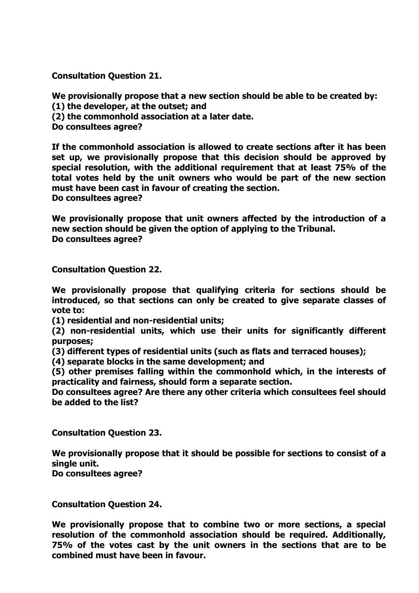**Consultation Question 21.** 

**We provisionally propose that a new section should be able to be created by:** 

**(1) the developer, at the outset; and** 

**(2) the commonhold association at a later date.** 

**Do consultees agree?** 

**If the commonhold association is allowed to create sections after it has been set up, we provisionally propose that this decision should be approved by special resolution, with the additional requirement that at least 75% of the total votes held by the unit owners who would be part of the new section must have been cast in favour of creating the section. Do consultees agree?** 

**We provisionally propose that unit owners affected by the introduction of a new section should be given the option of applying to the Tribunal. Do consultees agree?** 

**Consultation Question 22.** 

**We provisionally propose that qualifying criteria for sections should be introduced, so that sections can only be created to give separate classes of vote to:** 

**(1) residential and non-residential units;** 

**(2) non-residential units, which use their units for significantly different purposes;** 

**(3) different types of residential units (such as flats and terraced houses);** 

**(4) separate blocks in the same development; and** 

**(5) other premises falling within the commonhold which, in the interests of practicality and fairness, should form a separate section.** 

**Do consultees agree? Are there any other criteria which consultees feel should be added to the list?** 

**Consultation Question 23.** 

**We provisionally propose that it should be possible for sections to consist of a single unit.** 

**Do consultees agree?** 

**Consultation Question 24.**

**We provisionally propose that to combine two or more sections, a special resolution of the commonhold association should be required. Additionally, 75% of the votes cast by the unit owners in the sections that are to be combined must have been in favour.**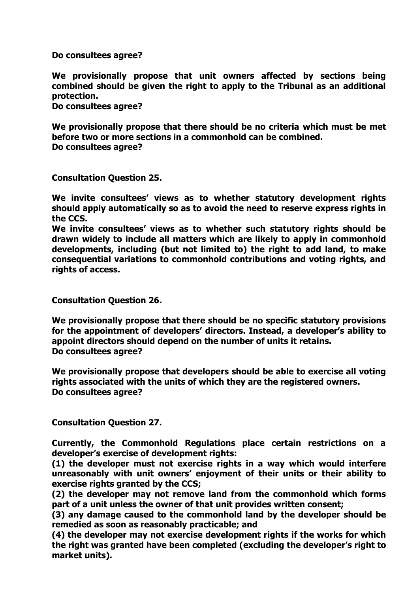**Do consultees agree?** 

**We provisionally propose that unit owners affected by sections being combined should be given the right to apply to the Tribunal as an additional protection.**

**Do consultees agree?** 

**We provisionally propose that there should be no criteria which must be met before two or more sections in a commonhold can be combined. Do consultees agree?** 

**Consultation Question 25.**

**We invite consultees' views as to whether statutory development rights should apply automatically so as to avoid the need to reserve express rights in the CCS.** 

**We invite consultees' views as to whether such statutory rights should be drawn widely to include all matters which are likely to apply in commonhold developments, including (but not limited to) the right to add land, to make consequential variations to commonhold contributions and voting rights, and rights of access.** 

**Consultation Question 26.**

**We provisionally propose that there should be no specific statutory provisions for the appointment of developers' directors. Instead, a developer's ability to appoint directors should depend on the number of units it retains. Do consultees agree?** 

**We provisionally propose that developers should be able to exercise all voting rights associated with the units of which they are the registered owners. Do consultees agree?** 

**Consultation Question 27.** 

**Currently, the Commonhold Regulations place certain restrictions on a developer's exercise of development rights:** 

**(1) the developer must not exercise rights in a way which would interfere unreasonably with unit owners' enjoyment of their units or their ability to exercise rights granted by the CCS;** 

**(2) the developer may not remove land from the commonhold which forms part of a unit unless the owner of that unit provides written consent;** 

**(3) any damage caused to the commonhold land by the developer should be remedied as soon as reasonably practicable; and** 

**(4) the developer may not exercise development rights if the works for which the right was granted have been completed (excluding the developer's right to market units).**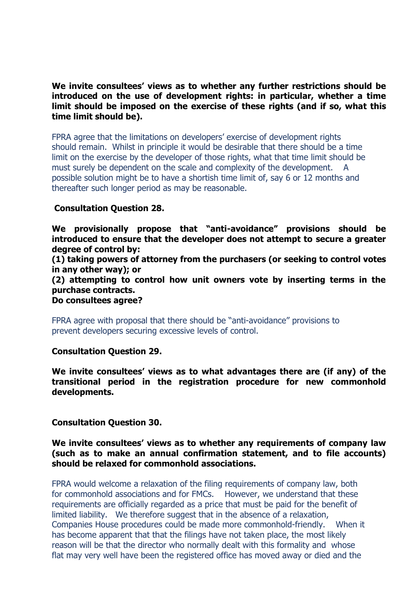**We invite consultees' views as to whether any further restrictions should be introduced on the use of development rights: in particular, whether a time limit should be imposed on the exercise of these rights (and if so, what this time limit should be).** 

FPRA agree that the limitations on developers' exercise of development rights should remain. Whilst in principle it would be desirable that there should be a time limit on the exercise by the developer of those rights, what that time limit should be must surely be dependent on the scale and complexity of the development. possible solution might be to have a shortish time limit of, say 6 or 12 months and thereafter such longer period as may be reasonable.

## **Consultation Question 28.**

**We provisionally propose that "anti-avoidance" provisions should be introduced to ensure that the developer does not attempt to secure a greater degree of control by:** 

**(1) taking powers of attorney from the purchasers (or seeking to control votes in any other way); or** 

**(2) attempting to control how unit owners vote by inserting terms in the purchase contracts.** 

**Do consultees agree?** 

FPRA agree with proposal that there should be "anti-avoidance" provisions to prevent developers securing excessive levels of control.

**Consultation Question 29.** 

**We invite consultees' views as to what advantages there are (if any) of the transitional period in the registration procedure for new commonhold developments.** 

**Consultation Question 30.** 

**We invite consultees' views as to whether any requirements of company law (such as to make an annual confirmation statement, and to file accounts) should be relaxed for commonhold associations.** 

FPRA would welcome a relaxation of the filing requirements of company law, both for commonhold associations and for FMCs. However, we understand that these requirements are officially regarded as a price that must be paid for the benefit of limited liability. We therefore suggest that in the absence of a relaxation, Companies House procedures could be made more commonhold-friendly. When it has become apparent that that the filings have not taken place, the most likely reason will be that the director who normally dealt with this formality and whose flat may very well have been the registered office has moved away or died and the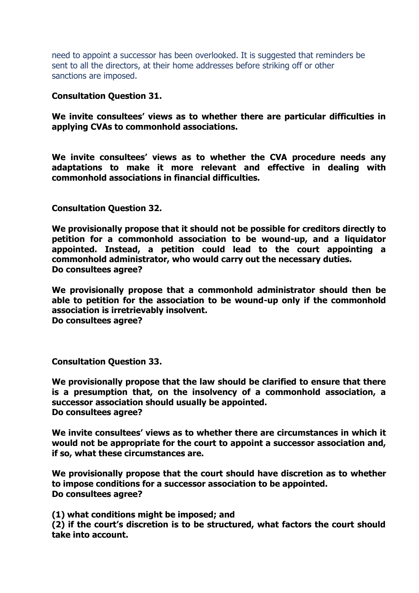need to appoint a successor has been overlooked. It is suggested that reminders be sent to all the directors, at their home addresses before striking off or other sanctions are imposed.

**Consultation Question 31.** 

**We invite consultees' views as to whether there are particular difficulties in applying CVAs to commonhold associations.** 

**We invite consultees' views as to whether the CVA procedure needs any adaptations to make it more relevant and effective in dealing with commonhold associations in financial difficulties.** 

**Consultation Question 32.** 

**We provisionally propose that it should not be possible for creditors directly to petition for a commonhold association to be wound-up, and a liquidator appointed. Instead, a petition could lead to the court appointing a commonhold administrator, who would carry out the necessary duties. Do consultees agree?** 

**We provisionally propose that a commonhold administrator should then be able to petition for the association to be wound-up only if the commonhold association is irretrievably insolvent. Do consultees agree?** 

**Consultation Question 33.**

**We provisionally propose that the law should be clarified to ensure that there is a presumption that, on the insolvency of a commonhold association, a successor association should usually be appointed. Do consultees agree?** 

**We invite consultees' views as to whether there are circumstances in which it would not be appropriate for the court to appoint a successor association and, if so, what these circumstances are.** 

**We provisionally propose that the court should have discretion as to whether to impose conditions for a successor association to be appointed. Do consultees agree?** 

**(1) what conditions might be imposed; and** 

**(2) if the court's discretion is to be structured, what factors the court should take into account.**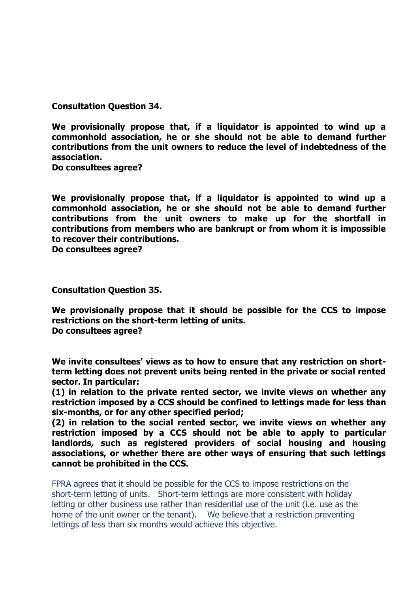**Consultation Question 34.** 

**We provisionally propose that, if a liquidator is appointed to wind up a commonhold association, he or she should not be able to demand further contributions from the unit owners to reduce the level of indebtedness of the association.** 

**Do consultees agree?** 

**We provisionally propose that, if a liquidator is appointed to wind up a commonhold association, he or she should not be able to demand further contributions from the unit owners to make up for the shortfall in contributions from members who are bankrupt or from whom it is impossible to recover their contributions.** 

**Do consultees agree?** 

**Consultation Question 35.** 

**We provisionally propose that it should be possible for the CCS to impose restrictions on the short-term letting of units. Do consultees agree?** 

**We invite consultees' views as to how to ensure that any restriction on shortterm letting does not prevent units being rented in the private or social rented sector. In particular:** 

**(1) in relation to the private rented sector, we invite views on whether any restriction imposed by a CCS should be confined to lettings made for less than six-months, or for any other specified period;** 

**(2) in relation to the social rented sector, we invite views on whether any restriction imposed by a CCS should not be able to apply to particular landlords, such as registered providers of social housing and housing associations, or whether there are other ways of ensuring that such lettings cannot be prohibited in the CCS.** 

FPRA agrees that it should be possible for the CCS to impose restrictions on the short-term letting of units. Short-term lettings are more consistent with holiday letting or other business use rather than residential use of the unit (i.e. use as the home of the unit owner or the tenant). We believe that a restriction preventing lettings of less than six months would achieve this objective.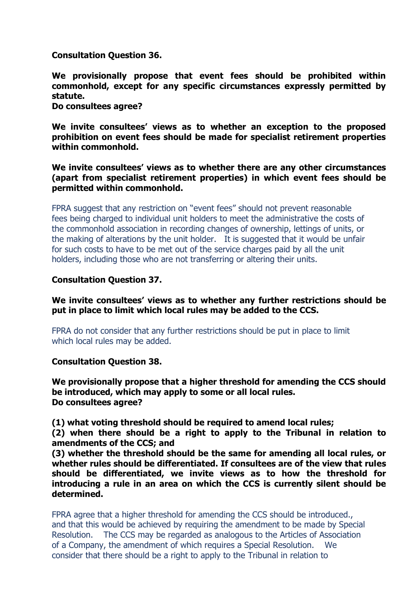**Consultation Question 36.** 

**We provisionally propose that event fees should be prohibited within commonhold, except for any specific circumstances expressly permitted by statute. Do consultees agree?** 

**We invite consultees' views as to whether an exception to the proposed prohibition on event fees should be made for specialist retirement properties within commonhold.** 

## **We invite consultees' views as to whether there are any other circumstances (apart from specialist retirement properties) in which event fees should be permitted within commonhold.**

FPRA suggest that any restriction on "event fees" should not prevent reasonable fees being charged to individual unit holders to meet the administrative the costs of the commonhold association in recording changes of ownership, lettings of units, or the making of alterations by the unit holder. It is suggested that it would be unfair for such costs to have to be met out of the service charges paid by all the unit holders, including those who are not transferring or altering their units.

## **Consultation Question 37.**

**We invite consultees' views as to whether any further restrictions should be put in place to limit which local rules may be added to the CCS.** 

FPRA do not consider that any further restrictions should be put in place to limit which local rules may be added.

**Consultation Question 38.** 

**We provisionally propose that a higher threshold for amending the CCS should be introduced, which may apply to some or all local rules. Do consultees agree?** 

**(1) what voting threshold should be required to amend local rules;** 

**(2) when there should be a right to apply to the Tribunal in relation to amendments of the CCS; and** 

**(3) whether the threshold should be the same for amending all local rules, or whether rules should be differentiated. If consultees are of the view that rules should be differentiated, we invite views as to how the threshold for introducing a rule in an area on which the CCS is currently silent should be determined.** 

FPRA agree that a higher threshold for amending the CCS should be introduced., and that this would be achieved by requiring the amendment to be made by Special Resolution. The CCS may be regarded as analogous to the Articles of Association of a Company, the amendment of which requires a Special Resolution. We consider that there should be a right to apply to the Tribunal in relation to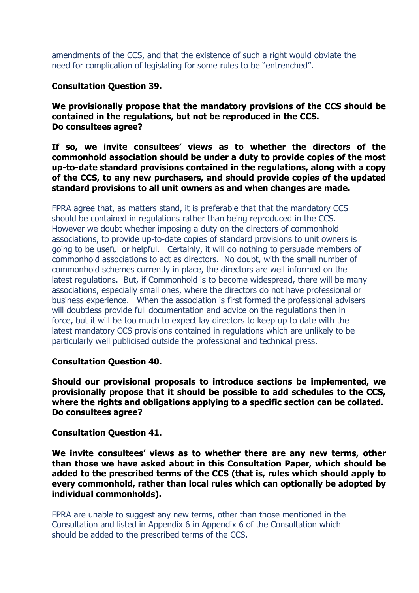amendments of the CCS, and that the existence of such a right would obviate the need for complication of legislating for some rules to be "entrenched".

**Consultation Question 39.** 

**We provisionally propose that the mandatory provisions of the CCS should be contained in the regulations, but not be reproduced in the CCS. Do consultees agree?** 

**If so, we invite consultees' views as to whether the directors of the commonhold association should be under a duty to provide copies of the most up-to-date standard provisions contained in the regulations, along with a copy of the CCS, to any new purchasers, and should provide copies of the updated standard provisions to all unit owners as and when changes are made.** 

FPRA agree that, as matters stand, it is preferable that that the mandatory CCS should be contained in regulations rather than being reproduced in the CCS. However we doubt whether imposing a duty on the directors of commonhold associations, to provide up-to-date copies of standard provisions to unit owners is going to be useful or helpful. Certainly, it will do nothing to persuade members of commonhold associations to act as directors. No doubt, with the small number of commonhold schemes currently in place, the directors are well informed on the latest regulations. But, if Commonhold is to become widespread, there will be many associations, especially small ones, where the directors do not have professional or business experience. When the association is first formed the professional advisers will doubtless provide full documentation and advice on the regulations then in force, but it will be too much to expect lay directors to keep up to date with the latest mandatory CCS provisions contained in regulations which are unlikely to be particularly well publicised outside the professional and technical press.

# **Consultation Question 40.**

**Should our provisional proposals to introduce sections be implemented, we provisionally propose that it should be possible to add schedules to the CCS, where the rights and obligations applying to a specific section can be collated. Do consultees agree?** 

**Consultation Question 41.** 

**We invite consultees' views as to whether there are any new terms, other than those we have asked about in this Consultation Paper, which should be added to the prescribed terms of the CCS (that is, rules which should apply to every commonhold, rather than local rules which can optionally be adopted by individual commonholds).** 

FPRA are unable to suggest any new terms, other than those mentioned in the Consultation and listed in Appendix 6 in Appendix 6 of the Consultation which should be added to the prescribed terms of the CCS.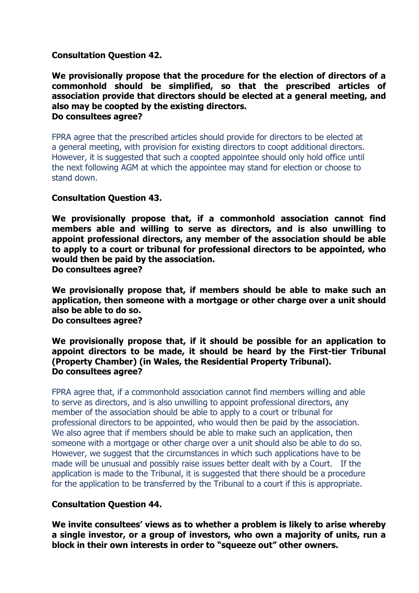## **Consultation Question 42.**

**We provisionally propose that the procedure for the election of directors of a commonhold should be simplified, so that the prescribed articles of association provide that directors should be elected at a general meeting, and also may be coopted by the existing directors. Do consultees agree?** 

FPRA agree that the prescribed articles should provide for directors to be elected at a general meeting, with provision for existing directors to coopt additional directors. However, it is suggested that such a coopted appointee should only hold office until the next following AGM at which the appointee may stand for election or choose to stand down.

### **Consultation Question 43.**

**We provisionally propose that, if a commonhold association cannot find members able and willing to serve as directors, and is also unwilling to appoint professional directors, any member of the association should be able to apply to a court or tribunal for professional directors to be appointed, who would then be paid by the association. Do consultees agree?** 

**We provisionally propose that, if members should be able to make such an application, then someone with a mortgage or other charge over a unit should also be able to do so. Do consultees agree?** 

**We provisionally propose that, if it should be possible for an application to appoint directors to be made, it should be heard by the First-tier Tribunal (Property Chamber) (in Wales, the Residential Property Tribunal). Do consultees agree?**

FPRA agree that, if a commonhold association cannot find members willing and able to serve as directors, and is also unwilling to appoint professional directors, any member of the association should be able to apply to a court or tribunal for professional directors to be appointed, who would then be paid by the association. We also agree that if members should be able to make such an application, then someone with a mortgage or other charge over a unit should also be able to do so. However, we suggest that the circumstances in which such applications have to be made will be unusual and possibly raise issues better dealt with by a Court. If the application is made to the Tribunal, it is suggested that there should be a procedure for the application to be transferred by the Tribunal to a court if this is appropriate.

# **Consultation Question 44.**

**We invite consultees' views as to whether a problem is likely to arise whereby a single investor, or a group of investors, who own a majority of units, run a block in their own interests in order to "squeeze out" other owners.**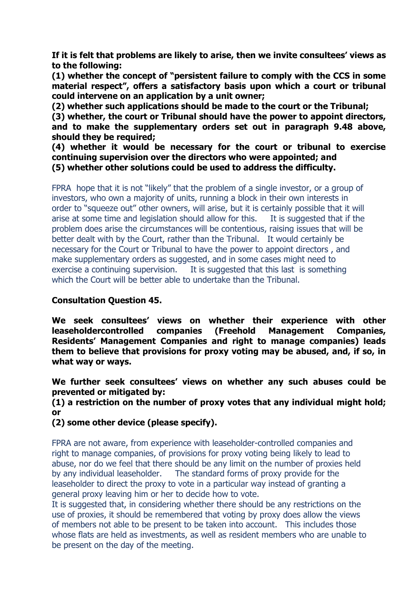**If it is felt that problems are likely to arise, then we invite consultees' views as to the following:** 

**(1) whether the concept of "persistent failure to comply with the CCS in some material respect", offers a satisfactory basis upon which a court or tribunal could intervene on an application by a unit owner;** 

**(2) whether such applications should be made to the court or the Tribunal;** 

**(3) whether, the court or Tribunal should have the power to appoint directors, and to make the supplementary orders set out in paragraph 9.48 above, should they be required;** 

**(4) whether it would be necessary for the court or tribunal to exercise continuing supervision over the directors who were appointed; and (5) whether other solutions could be used to address the difficulty.** 

FPRA hope that it is not "likely" that the problem of a single investor, or a group of investors, who own a majority of units, running a block in their own interests in order to "squeeze out" other owners, will arise, but it is certainly possible that it will arise at some time and legislation should allow for this. It is suggested that if the problem does arise the circumstances will be contentious, raising issues that will be better dealt with by the Court, rather than the Tribunal. It would certainly be necessary for the Court or Tribunal to have the power to appoint directors , and make supplementary orders as suggested, and in some cases might need to exercise a continuing supervision. It is suggested that this last is something which the Court will be better able to undertake than the Tribunal.

# **Consultation Question 45.**

**We seek consultees' views on whether their experience with other leaseholdercontrolled companies (Freehold Management Companies, Residents' Management Companies and right to manage companies) leads them to believe that provisions for proxy voting may be abused, and, if so, in what way or ways.** 

**We further seek consultees' views on whether any such abuses could be prevented or mitigated by:** 

**(1) a restriction on the number of proxy votes that any individual might hold; or**

**(2) some other device (please specify).** 

FPRA are not aware, from experience with leaseholder-controlled companies and right to manage companies, of provisions for proxy voting being likely to lead to abuse, nor do we feel that there should be any limit on the number of proxies held by any individual leaseholder. The standard forms of proxy provide for the leaseholder to direct the proxy to vote in a particular way instead of granting a general proxy leaving him or her to decide how to vote.

It is suggested that, in considering whether there should be any restrictions on the use of proxies, it should be remembered that voting by proxy does allow the views of members not able to be present to be taken into account. This includes those whose flats are held as investments, as well as resident members who are unable to be present on the day of the meeting.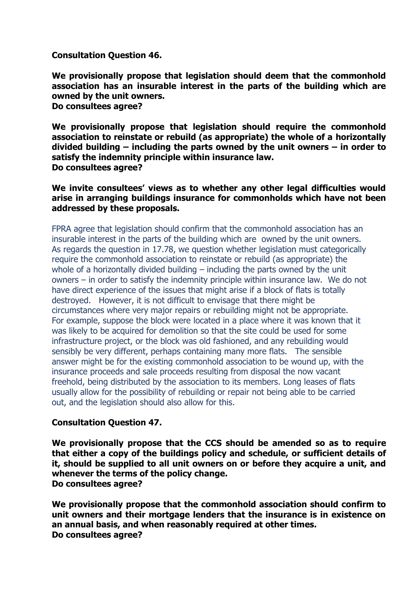**Consultation Question 46.** 

**We provisionally propose that legislation should deem that the commonhold association has an insurable interest in the parts of the building which are owned by the unit owners. Do consultees agree?** 

**We provisionally propose that legislation should require the commonhold association to reinstate or rebuild (as appropriate) the whole of a horizontally divided building – including the parts owned by the unit owners – in order to satisfy the indemnity principle within insurance law. Do consultees agree?** 

**We invite consultees' views as to whether any other legal difficulties would arise in arranging buildings insurance for commonholds which have not been addressed by these proposals.** 

FPRA agree that legislation should confirm that the commonhold association has an insurable interest in the parts of the building which are owned by the unit owners. As regards the question in 17.78, we question whether legislation must categorically require the commonhold association to reinstate or rebuild (as appropriate) the whole of a horizontally divided building – including the parts owned by the unit owners – in order to satisfy the indemnity principle within insurance law. We do not have direct experience of the issues that might arise if a block of flats is totally destroyed. However, it is not difficult to envisage that there might be circumstances where very major repairs or rebuilding might not be appropriate. For example, suppose the block were located in a place where it was known that it was likely to be acquired for demolition so that the site could be used for some infrastructure project, or the block was old fashioned, and any rebuilding would sensibly be very different, perhaps containing many more flats. The sensible answer might be for the existing commonhold association to be wound up, with the insurance proceeds and sale proceeds resulting from disposal the now vacant freehold, being distributed by the association to its members. Long leases of flats usually allow for the possibility of rebuilding or repair not being able to be carried out, and the legislation should also allow for this.

### **Consultation Question 47.**

**We provisionally propose that the CCS should be amended so as to require that either a copy of the buildings policy and schedule, or sufficient details of it, should be supplied to all unit owners on or before they acquire a unit, and whenever the terms of the policy change. Do consultees agree?** 

**We provisionally propose that the commonhold association should confirm to unit owners and their mortgage lenders that the insurance is in existence on an annual basis, and when reasonably required at other times. Do consultees agree?**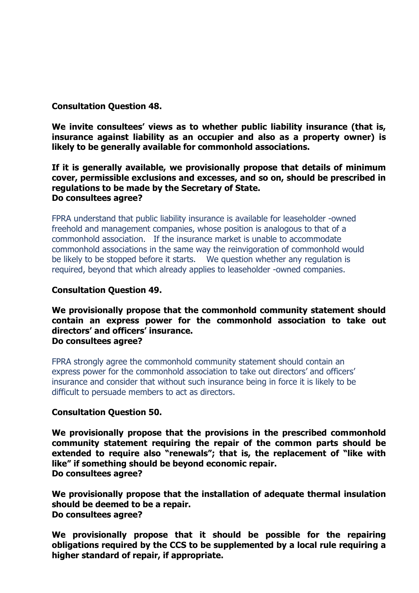# **Consultation Question 48.**

**We invite consultees' views as to whether public liability insurance (that is, insurance against liability as an occupier and also as a property owner) is likely to be generally available for commonhold associations.** 

### **If it is generally available, we provisionally propose that details of minimum cover, permissible exclusions and excesses, and so on, should be prescribed in regulations to be made by the Secretary of State. Do consultees agree?**

FPRA understand that public liability insurance is available for leaseholder -owned freehold and management companies, whose position is analogous to that of a commonhold association. If the insurance market is unable to accommodate commonhold associations in the same way the reinvigoration of commonhold would be likely to be stopped before it starts. We question whether any regulation is required, beyond that which already applies to leaseholder -owned companies.

## **Consultation Question 49.**

### **We provisionally propose that the commonhold community statement should contain an express power for the commonhold association to take out directors' and officers' insurance. Do consultees agree?**

FPRA strongly agree the commonhold community statement should contain an express power for the commonhold association to take out directors' and officers' insurance and consider that without such insurance being in force it is likely to be difficult to persuade members to act as directors.

### **Consultation Question 50.**

**We provisionally propose that the provisions in the prescribed commonhold community statement requiring the repair of the common parts should be extended to require also "renewals"; that is, the replacement of "like with like" if something should be beyond economic repair. Do consultees agree?** 

**We provisionally propose that the installation of adequate thermal insulation should be deemed to be a repair. Do consultees agree?** 

**We provisionally propose that it should be possible for the repairing obligations required by the CCS to be supplemented by a local rule requiring a higher standard of repair, if appropriate.**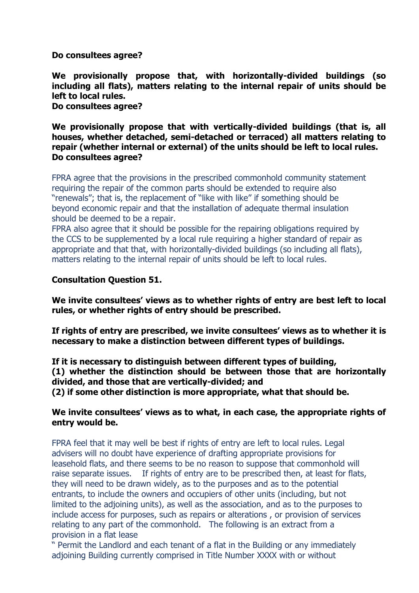**Do consultees agree?** 

**We provisionally propose that, with horizontally-divided buildings (so including all flats), matters relating to the internal repair of units should be left to local rules. Do consultees agree?** 

**We provisionally propose that with vertically-divided buildings (that is, all houses, whether detached, semi-detached or terraced) all matters relating to repair (whether internal or external) of the units should be left to local rules. Do consultees agree?** 

FPRA agree that the provisions in the prescribed commonhold community statement requiring the repair of the common parts should be extended to require also "renewals"; that is, the replacement of "like with like" if something should be beyond economic repair and that the installation of adequate thermal insulation should be deemed to be a repair.

FPRA also agree that it should be possible for the repairing obligations required by the CCS to be supplemented by a local rule requiring a higher standard of repair as appropriate and that that, with horizontally-divided buildings (so including all flats), matters relating to the internal repair of units should be left to local rules.

# **Consultation Question 51.**

**We invite consultees' views as to whether rights of entry are best left to local rules, or whether rights of entry should be prescribed.** 

**If rights of entry are prescribed, we invite consultees' views as to whether it is necessary to make a distinction between different types of buildings.** 

**If it is necessary to distinguish between different types of building, (1) whether the distinction should be between those that are horizontally divided, and those that are vertically-divided; and** 

**(2) if some other distinction is more appropriate, what that should be.** 

## **We invite consultees' views as to what, in each case, the appropriate rights of entry would be.**

FPRA feel that it may well be best if rights of entry are left to local rules. Legal advisers will no doubt have experience of drafting appropriate provisions for leasehold flats, and there seems to be no reason to suppose that commonhold will raise separate issues. If rights of entry are to be prescribed then, at least for flats, they will need to be drawn widely, as to the purposes and as to the potential entrants, to include the owners and occupiers of other units (including, but not limited to the adjoining units), as well as the association, and as to the purposes to include access for purposes, such as repairs or alterations , or provision of services relating to any part of the commonhold. The following is an extract from a provision in a flat lease

" Permit the Landlord and each tenant of a flat in the Building or any immediately adjoining Building currently comprised in Title Number XXXX with or without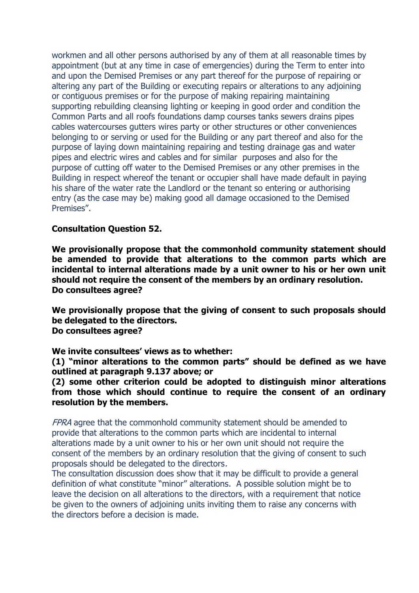workmen and all other persons authorised by any of them at all reasonable times by appointment (but at any time in case of emergencies) during the Term to enter into and upon the Demised Premises or any part thereof for the purpose of repairing or altering any part of the Building or executing repairs or alterations to any adjoining or contiguous premises or for the purpose of making repairing maintaining supporting rebuilding cleansing lighting or keeping in good order and condition the Common Parts and all roofs foundations damp courses tanks sewers drains pipes cables watercourses gutters wires party or other structures or other conveniences belonging to or serving or used for the Building or any part thereof and also for the purpose of laying down maintaining repairing and testing drainage gas and water pipes and electric wires and cables and for similar purposes and also for the purpose of cutting off water to the Demised Premises or any other premises in the Building in respect whereof the tenant or occupier shall have made default in paying his share of the water rate the Landlord or the tenant so entering or authorising entry (as the case may be) making good all damage occasioned to the Demised Premises".

## **Consultation Question 52.**

**We provisionally propose that the commonhold community statement should be amended to provide that alterations to the common parts which are incidental to internal alterations made by a unit owner to his or her own unit should not require the consent of the members by an ordinary resolution. Do consultees agree?** 

**We provisionally propose that the giving of consent to such proposals should be delegated to the directors. Do consultees agree?** 

**We invite consultees' views as to whether:** 

**(1) "minor alterations to the common parts" should be defined as we have outlined at paragraph 9.137 above; or** 

**(2) some other criterion could be adopted to distinguish minor alterations from those which should continue to require the consent of an ordinary resolution by the members.** 

FPRA agree that the commonhold community statement should be amended to provide that alterations to the common parts which are incidental to internal alterations made by a unit owner to his or her own unit should not require the consent of the members by an ordinary resolution that the giving of consent to such proposals should be delegated to the directors.

The consultation discussion does show that it may be difficult to provide a general definition of what constitute "minor" alterations. A possible solution might be to leave the decision on all alterations to the directors, with a requirement that notice be given to the owners of adjoining units inviting them to raise any concerns with the directors before a decision is made.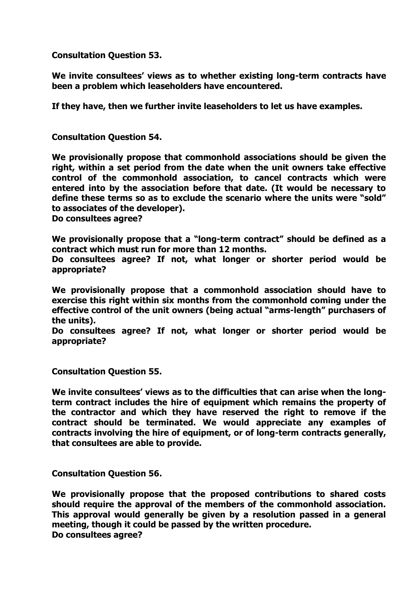**Consultation Question 53.** 

**We invite consultees' views as to whether existing long-term contracts have been a problem which leaseholders have encountered.** 

**If they have, then we further invite leaseholders to let us have examples.** 

**Consultation Question 54.** 

**We provisionally propose that commonhold associations should be given the right, within a set period from the date when the unit owners take effective control of the commonhold association, to cancel contracts which were entered into by the association before that date. (It would be necessary to define these terms so as to exclude the scenario where the units were "sold" to associates of the developer).** 

**Do consultees agree?** 

**We provisionally propose that a "long-term contract" should be defined as a contract which must run for more than 12 months.**

**Do consultees agree? If not, what longer or shorter period would be appropriate?** 

**We provisionally propose that a commonhold association should have to exercise this right within six months from the commonhold coming under the effective control of the unit owners (being actual "arms-length" purchasers of the units).** 

**Do consultees agree? If not, what longer or shorter period would be appropriate?** 

**Consultation Question 55.** 

**We invite consultees' views as to the difficulties that can arise when the longterm contract includes the hire of equipment which remains the property of the contractor and which they have reserved the right to remove if the contract should be terminated. We would appreciate any examples of contracts involving the hire of equipment, or of long-term contracts generally, that consultees are able to provide.** 

**Consultation Question 56.** 

**We provisionally propose that the proposed contributions to shared costs should require the approval of the members of the commonhold association. This approval would generally be given by a resolution passed in a general meeting, though it could be passed by the written procedure. Do consultees agree?**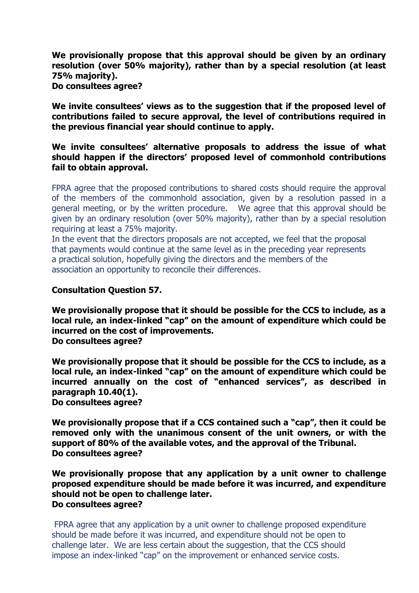**We provisionally propose that this approval should be given by an ordinary resolution (over 50% majority), rather than by a special resolution (at least 75% majority).** 

**Do consultees agree?** 

**We invite consultees' views as to the suggestion that if the proposed level of contributions failed to secure approval, the level of contributions required in the previous financial year should continue to apply.** 

**We invite consultees' alternative proposals to address the issue of what should happen if the directors' proposed level of commonhold contributions fail to obtain approval.** 

FPRA agree that the proposed contributions to shared costs should require the approval of the members of the commonhold association, given by a resolution passed in a general meeting, or by the written procedure. We agree that this approval should be given by an ordinary resolution (over 50% majority), rather than by a special resolution requiring at least a 75% majority.

In the event that the directors proposals are not accepted, we feel that the proposal that payments would continue at the same level as in the preceding year represents a practical solution, hopefully giving the directors and the members of the association an opportunity to reconcile their differences.

## **Consultation Question 57.**

**We provisionally propose that it should be possible for the CCS to include, as a local rule, an index-linked "cap" on the amount of expenditure which could be incurred on the cost of improvements. Do consultees agree?** 

**We provisionally propose that it should be possible for the CCS to include, as a local rule, an index-linked "cap" on the amount of expenditure which could be incurred annually on the cost of "enhanced services", as described in paragraph 10.40(1). Do consultees agree?** 

**We provisionally propose that if a CCS contained such a "cap", then it could be removed only with the unanimous consent of the unit owners, or with the support of 80% of the available votes, and the approval of the Tribunal. Do consultees agree?** 

**We provisionally propose that any application by a unit owner to challenge proposed expenditure should be made before it was incurred, and expenditure should not be open to challenge later. Do consultees agree?** 

FPRA agree that any application by a unit owner to challenge proposed expenditure should be made before it was incurred, and expenditure should not be open to challenge later. We are less certain about the suggestion, that the CCS should impose an index-linked "cap" on the improvement or enhanced service costs.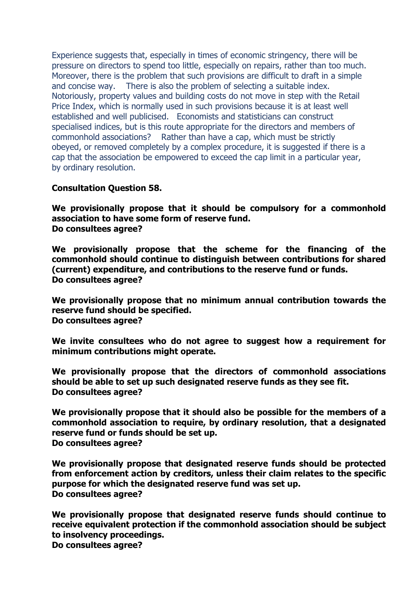Experience suggests that, especially in times of economic stringency, there will be pressure on directors to spend too little, especially on repairs, rather than too much. Moreover, there is the problem that such provisions are difficult to draft in a simple and concise way. There is also the problem of selecting a suitable index. Notoriously, property values and building costs do not move in step with the Retail Price Index, which is normally used in such provisions because it is at least well established and well publicised. Economists and statisticians can construct specialised indices, but is this route appropriate for the directors and members of commonhold associations? Rather than have a cap, which must be strictly obeyed, or removed completely by a complex procedure, it is suggested if there is a cap that the association be empowered to exceed the cap limit in a particular year, by ordinary resolution.

## **Consultation Question 58.**

**We provisionally propose that it should be compulsory for a commonhold association to have some form of reserve fund. Do consultees agree?** 

**We provisionally propose that the scheme for the financing of the commonhold should continue to distinguish between contributions for shared (current) expenditure, and contributions to the reserve fund or funds. Do consultees agree?** 

**We provisionally propose that no minimum annual contribution towards the reserve fund should be specified. Do consultees agree?** 

**We invite consultees who do not agree to suggest how a requirement for minimum contributions might operate.** 

**We provisionally propose that the directors of commonhold associations should be able to set up such designated reserve funds as they see fit. Do consultees agree?** 

**We provisionally propose that it should also be possible for the members of a commonhold association to require, by ordinary resolution, that a designated reserve fund or funds should be set up. Do consultees agree?** 

**We provisionally propose that designated reserve funds should be protected from enforcement action by creditors, unless their claim relates to the specific purpose for which the designated reserve fund was set up. Do consultees agree?** 

**We provisionally propose that designated reserve funds should continue to receive equivalent protection if the commonhold association should be subject to insolvency proceedings. Do consultees agree?**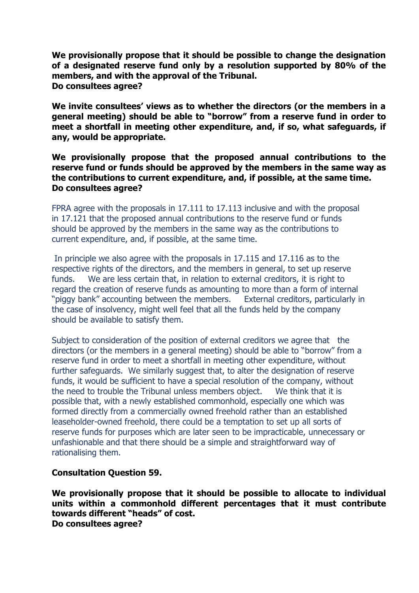**We provisionally propose that it should be possible to change the designation of a designated reserve fund only by a resolution supported by 80% of the members, and with the approval of the Tribunal. Do consultees agree?** 

**We invite consultees' views as to whether the directors (or the members in a general meeting) should be able to "borrow" from a reserve fund in order to meet a shortfall in meeting other expenditure, and, if so, what safeguards, if any, would be appropriate.** 

### **We provisionally propose that the proposed annual contributions to the reserve fund or funds should be approved by the members in the same way as the contributions to current expenditure, and, if possible, at the same time. Do consultees agree?**

FPRA agree with the proposals in 17.111 to 17.113 inclusive and with the proposal in 17.121 that the proposed annual contributions to the reserve fund or funds should be approved by the members in the same way as the contributions to current expenditure, and, if possible, at the same time.

In principle we also agree with the proposals in 17.115 and 17.116 as to the respective rights of the directors, and the members in general, to set up reserve funds. We are less certain that, in relation to external creditors, it is right to regard the creation of reserve funds as amounting to more than a form of internal "piggy bank" accounting between the members. External creditors, particularly in the case of insolvency, might well feel that all the funds held by the company should be available to satisfy them.

Subject to consideration of the position of external creditors we agree that the directors (or the members in a general meeting) should be able to "borrow" from a reserve fund in order to meet a shortfall in meeting other expenditure, without further safeguards. We similarly suggest that, to alter the designation of reserve funds, it would be sufficient to have a special resolution of the company, without the need to trouble the Tribunal unless members object. We think that it is possible that, with a newly established commonhold, especially one which was formed directly from a commercially owned freehold rather than an established leaseholder-owned freehold, there could be a temptation to set up all sorts of reserve funds for purposes which are later seen to be impracticable, unnecessary or unfashionable and that there should be a simple and straightforward way of rationalising them.

### **Consultation Question 59.**

**We provisionally propose that it should be possible to allocate to individual units within a commonhold different percentages that it must contribute towards different "heads" of cost. Do consultees agree?**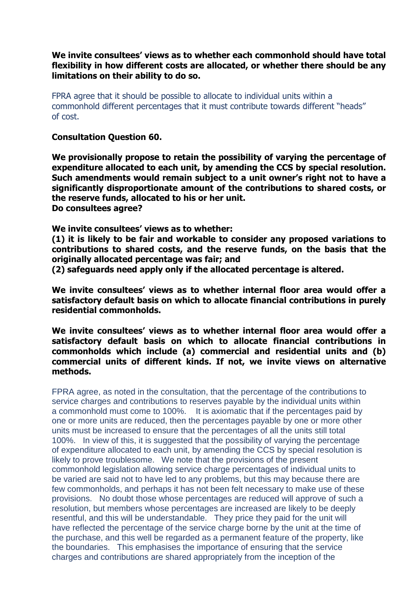**We invite consultees' views as to whether each commonhold should have total flexibility in how different costs are allocated, or whether there should be any limitations on their ability to do so.** 

FPRA agree that it should be possible to allocate to individual units within a commonhold different percentages that it must contribute towards different "heads" of cost.

**Consultation Question 60.** 

**We provisionally propose to retain the possibility of varying the percentage of expenditure allocated to each unit, by amending the CCS by special resolution. Such amendments would remain subject to a unit owner's right not to have a significantly disproportionate amount of the contributions to shared costs, or the reserve funds, allocated to his or her unit. Do consultees agree?** 

**We invite consultees' views as to whether:** 

**(1) it is likely to be fair and workable to consider any proposed variations to contributions to shared costs, and the reserve funds, on the basis that the originally allocated percentage was fair; and** 

**(2) safeguards need apply only if the allocated percentage is altered.** 

**We invite consultees' views as to whether internal floor area would offer a satisfactory default basis on which to allocate financial contributions in purely residential commonholds.** 

**We invite consultees' views as to whether internal floor area would offer a satisfactory default basis on which to allocate financial contributions in commonholds which include (a) commercial and residential units and (b) commercial units of different kinds. If not, we invite views on alternative methods.** 

FPRA agree, as noted in the consultation, that the percentage of the contributions to service charges and contributions to reserves payable by the individual units within a commonhold must come to 100%. It is axiomatic that if the percentages paid by one or more units are reduced, then the percentages payable by one or more other units must be increased to ensure that the percentages of all the units still total 100%. In view of this, it is suggested that the possibility of varying the percentage of expenditure allocated to each unit, by amending the CCS by special resolution is likely to prove troublesome. We note that the provisions of the present commonhold legislation allowing service charge percentages of individual units to be varied are said not to have led to any problems, but this may because there are few commonholds, and perhaps it has not been felt necessary to make use of these provisions. No doubt those whose percentages are reduced will approve of such a resolution, but members whose percentages are increased are likely to be deeply resentful, and this will be understandable. They price they paid for the unit will have reflected the percentage of the service charge borne by the unit at the time of the purchase, and this well be regarded as a permanent feature of the property, like the boundaries. This emphasises the importance of ensuring that the service charges and contributions are shared appropriately from the inception of the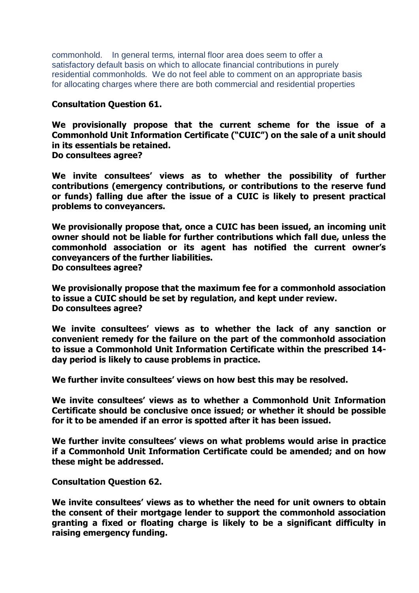commonhold. In general terms*,* internal floor area does seem to offer a satisfactory default basis on which to allocate financial contributions in purely residential commonholds*.* We do not feel able to comment on an appropriate basis for allocating charges where there are both commercial and residential properties

## **Consultation Question 61.**

**We provisionally propose that the current scheme for the issue of a Commonhold Unit Information Certificate ("CUIC") on the sale of a unit should in its essentials be retained. Do consultees agree?** 

**We invite consultees' views as to whether the possibility of further contributions (emergency contributions, or contributions to the reserve fund or funds) falling due after the issue of a CUIC is likely to present practical problems to conveyancers.** 

**We provisionally propose that, once a CUIC has been issued, an incoming unit owner should not be liable for further contributions which fall due, unless the commonhold association or its agent has notified the current owner's conveyancers of the further liabilities. Do consultees agree?** 

**We provisionally propose that the maximum fee for a commonhold association to issue a CUIC should be set by regulation, and kept under review. Do consultees agree?** 

**We invite consultees' views as to whether the lack of any sanction or convenient remedy for the failure on the part of the commonhold association to issue a Commonhold Unit Information Certificate within the prescribed 14 day period is likely to cause problems in practice.** 

**We further invite consultees' views on how best this may be resolved.** 

**We invite consultees' views as to whether a Commonhold Unit Information Certificate should be conclusive once issued; or whether it should be possible for it to be amended if an error is spotted after it has been issued.** 

**We further invite consultees' views on what problems would arise in practice if a Commonhold Unit Information Certificate could be amended; and on how these might be addressed.** 

**Consultation Question 62.** 

**We invite consultees' views as to whether the need for unit owners to obtain the consent of their mortgage lender to support the commonhold association granting a fixed or floating charge is likely to be a significant difficulty in raising emergency funding.**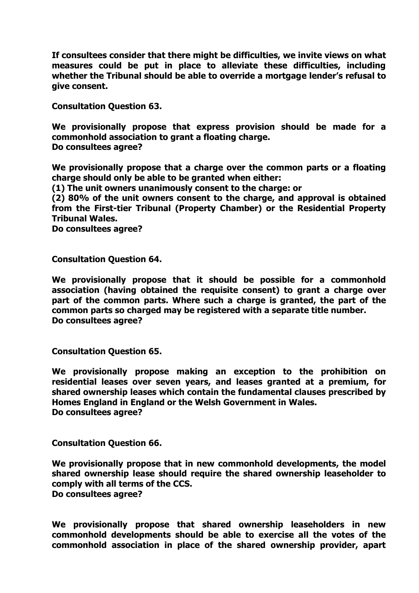**If consultees consider that there might be difficulties, we invite views on what measures could be put in place to alleviate these difficulties, including whether the Tribunal should be able to override a mortgage lender's refusal to give consent.** 

**Consultation Question 63.** 

**We provisionally propose that express provision should be made for a commonhold association to grant a floating charge. Do consultees agree?** 

**We provisionally propose that a charge over the common parts or a floating charge should only be able to be granted when either:** 

**(1) The unit owners unanimously consent to the charge: or** 

**(2) 80% of the unit owners consent to the charge, and approval is obtained from the First-tier Tribunal (Property Chamber) or the Residential Property Tribunal Wales.** 

**Do consultees agree?** 

**Consultation Question 64.** 

**We provisionally propose that it should be possible for a commonhold association (having obtained the requisite consent) to grant a charge over part of the common parts. Where such a charge is granted, the part of the common parts so charged may be registered with a separate title number. Do consultees agree?** 

**Consultation Question 65.** 

**We provisionally propose making an exception to the prohibition on residential leases over seven years, and leases granted at a premium, for shared ownership leases which contain the fundamental clauses prescribed by Homes England in England or the Welsh Government in Wales. Do consultees agree?** 

**Consultation Question 66.** 

**We provisionally propose that in new commonhold developments, the model shared ownership lease should require the shared ownership leaseholder to comply with all terms of the CCS. Do consultees agree?** 

**We provisionally propose that shared ownership leaseholders in new commonhold developments should be able to exercise all the votes of the commonhold association in place of the shared ownership provider, apart**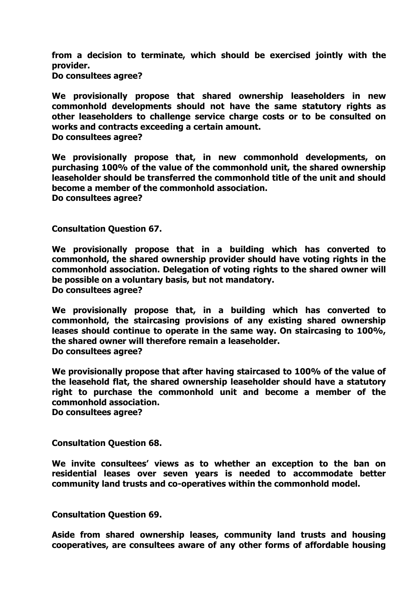**from a decision to terminate, which should be exercised jointly with the provider.** 

**Do consultees agree?** 

**We provisionally propose that shared ownership leaseholders in new commonhold developments should not have the same statutory rights as other leaseholders to challenge service charge costs or to be consulted on works and contracts exceeding a certain amount. Do consultees agree?** 

**We provisionally propose that, in new commonhold developments, on purchasing 100% of the value of the commonhold unit, the shared ownership leaseholder should be transferred the commonhold title of the unit and should become a member of the commonhold association. Do consultees agree?** 

**Consultation Question 67.** 

**We provisionally propose that in a building which has converted to commonhold, the shared ownership provider should have voting rights in the commonhold association. Delegation of voting rights to the shared owner will be possible on a voluntary basis, but not mandatory. Do consultees agree?** 

**We provisionally propose that, in a building which has converted to commonhold, the staircasing provisions of any existing shared ownership leases should continue to operate in the same way. On staircasing to 100%, the shared owner will therefore remain a leaseholder. Do consultees agree?** 

**We provisionally propose that after having staircased to 100% of the value of the leasehold flat, the shared ownership leaseholder should have a statutory right to purchase the commonhold unit and become a member of the commonhold association.** 

**Do consultees agree?** 

**Consultation Question 68.** 

**We invite consultees' views as to whether an exception to the ban on residential leases over seven years is needed to accommodate better community land trusts and co-operatives within the commonhold model.** 

**Consultation Question 69.** 

**Aside from shared ownership leases, community land trusts and housing cooperatives, are consultees aware of any other forms of affordable housing**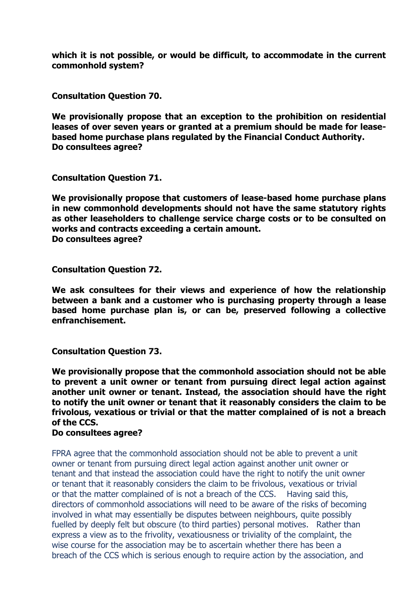**which it is not possible, or would be difficult, to accommodate in the current commonhold system?** 

**Consultation Question 70.** 

**We provisionally propose that an exception to the prohibition on residential leases of over seven years or granted at a premium should be made for leasebased home purchase plans regulated by the Financial Conduct Authority. Do consultees agree?** 

**Consultation Question 71.** 

**We provisionally propose that customers of lease-based home purchase plans in new commonhold developments should not have the same statutory rights as other leaseholders to challenge service charge costs or to be consulted on works and contracts exceeding a certain amount. Do consultees agree?** 

**Consultation Question 72.** 

**We ask consultees for their views and experience of how the relationship between a bank and a customer who is purchasing property through a lease based home purchase plan is, or can be, preserved following a collective enfranchisement.** 

**Consultation Question 73.** 

**We provisionally propose that the commonhold association should not be able to prevent a unit owner or tenant from pursuing direct legal action against another unit owner or tenant. Instead, the association should have the right to notify the unit owner or tenant that it reasonably considers the claim to be frivolous, vexatious or trivial or that the matter complained of is not a breach of the CCS.** 

# **Do consultees agree?**

FPRA agree that the commonhold association should not be able to prevent a unit owner or tenant from pursuing direct legal action against another unit owner or tenant and that instead the association could have the right to notify the unit owner or tenant that it reasonably considers the claim to be frivolous, vexatious or trivial or that the matter complained of is not a breach of the CCS. Having said this, directors of commonhold associations will need to be aware of the risks of becoming involved in what may essentially be disputes between neighbours, quite possibly fuelled by deeply felt but obscure (to third parties) personal motives. Rather than express a view as to the frivolity, vexatiousness or triviality of the complaint, the wise course for the association may be to ascertain whether there has been a breach of the CCS which is serious enough to require action by the association, and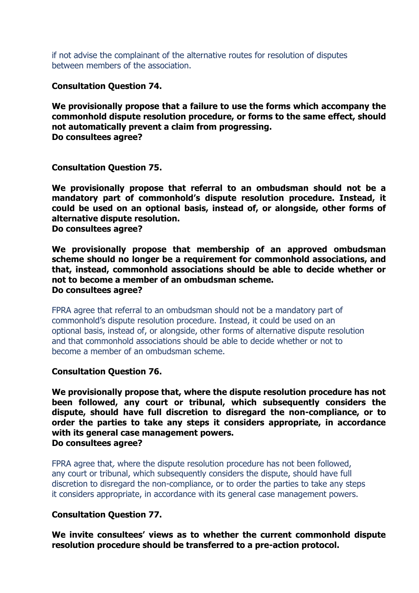if not advise the complainant of the alternative routes for resolution of disputes between members of the association.

**Consultation Question 74.** 

**We provisionally propose that a failure to use the forms which accompany the commonhold dispute resolution procedure, or forms to the same effect, should not automatically prevent a claim from progressing. Do consultees agree?** 

**Consultation Question 75.** 

**We provisionally propose that referral to an ombudsman should not be a mandatory part of commonhold's dispute resolution procedure. Instead, it could be used on an optional basis, instead of, or alongside, other forms of alternative dispute resolution.** 

**Do consultees agree?** 

**We provisionally propose that membership of an approved ombudsman scheme should no longer be a requirement for commonhold associations, and that, instead, commonhold associations should be able to decide whether or not to become a member of an ombudsman scheme. Do consultees agree?** 

FPRA agree that referral to an ombudsman should not be a mandatory part of commonhold's dispute resolution procedure. Instead, it could be used on an optional basis, instead of, or alongside, other forms of alternative dispute resolution and that commonhold associations should be able to decide whether or not to become a member of an ombudsman scheme.

**Consultation Question 76.** 

**We provisionally propose that, where the dispute resolution procedure has not been followed, any court or tribunal, which subsequently considers the dispute, should have full discretion to disregard the non-compliance, or to order the parties to take any steps it considers appropriate, in accordance with its general case management powers. Do consultees agree?** 

FPRA agree that, where the dispute resolution procedure has not been followed, any court or tribunal, which subsequently considers the dispute, should have full discretion to disregard the non-compliance, or to order the parties to take any steps it considers appropriate, in accordance with its general case management powers.

### **Consultation Question 77.**

**We invite consultees' views as to whether the current commonhold dispute resolution procedure should be transferred to a pre-action protocol.**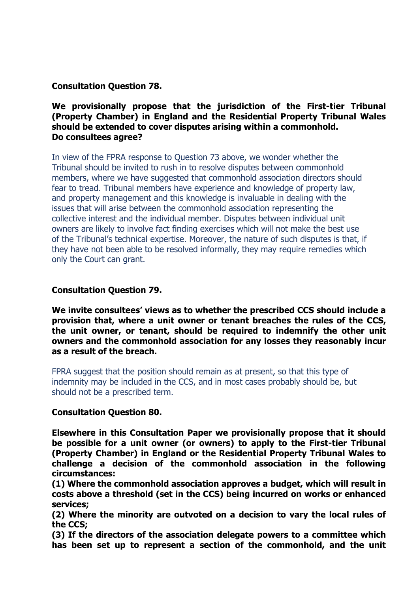**Consultation Question 78.** 

## **We provisionally propose that the jurisdiction of the First-tier Tribunal (Property Chamber) in England and the Residential Property Tribunal Wales should be extended to cover disputes arising within a commonhold. Do consultees agree?**

In view of the FPRA response to Question 73 above, we wonder whether the Tribunal should be invited to rush in to resolve disputes between commonhold members, where we have suggested that commonhold association directors should fear to tread. Tribunal members have experience and knowledge of property law, and property management and this knowledge is invaluable in dealing with the issues that will arise between the commonhold association representing the collective interest and the individual member. Disputes between individual unit owners are likely to involve fact finding exercises which will not make the best use of the Tribunal's technical expertise. Moreover, the nature of such disputes is that, if they have not been able to be resolved informally, they may require remedies which only the Court can grant.

## **Consultation Question 79.**

**We invite consultees' views as to whether the prescribed CCS should include a provision that, where a unit owner or tenant breaches the rules of the CCS, the unit owner, or tenant, should be required to indemnify the other unit owners and the commonhold association for any losses they reasonably incur as a result of the breach.** 

FPRA suggest that the position should remain as at present, so that this type of indemnity may be included in the CCS, and in most cases probably should be, but should not be a prescribed term.

### **Consultation Question 80.**

**Elsewhere in this Consultation Paper we provisionally propose that it should be possible for a unit owner (or owners) to apply to the First-tier Tribunal (Property Chamber) in England or the Residential Property Tribunal Wales to challenge a decision of the commonhold association in the following circumstances:** 

**(1) Where the commonhold association approves a budget, which will result in costs above a threshold (set in the CCS) being incurred on works or enhanced services;**

**(2) Where the minority are outvoted on a decision to vary the local rules of the CCS;** 

**(3) If the directors of the association delegate powers to a committee which has been set up to represent a section of the commonhold, and the unit**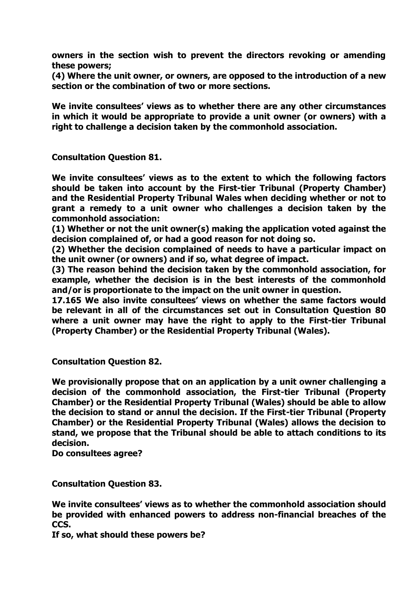**owners in the section wish to prevent the directors revoking or amending these powers;** 

**(4) Where the unit owner, or owners, are opposed to the introduction of a new section or the combination of two or more sections.** 

**We invite consultees' views as to whether there are any other circumstances in which it would be appropriate to provide a unit owner (or owners) with a right to challenge a decision taken by the commonhold association.** 

**Consultation Question 81.** 

**We invite consultees' views as to the extent to which the following factors should be taken into account by the First-tier Tribunal (Property Chamber) and the Residential Property Tribunal Wales when deciding whether or not to grant a remedy to a unit owner who challenges a decision taken by the commonhold association:** 

**(1) Whether or not the unit owner(s) making the application voted against the decision complained of, or had a good reason for not doing so.** 

**(2) Whether the decision complained of needs to have a particular impact on the unit owner (or owners) and if so, what degree of impact.** 

**(3) The reason behind the decision taken by the commonhold association, for example, whether the decision is in the best interests of the commonhold and/or is proportionate to the impact on the unit owner in question.** 

**17.165 We also invite consultees' views on whether the same factors would be relevant in all of the circumstances set out in Consultation Question 80 where a unit owner may have the right to apply to the First-tier Tribunal (Property Chamber) or the Residential Property Tribunal (Wales).** 

**Consultation Question 82.** 

**We provisionally propose that on an application by a unit owner challenging a decision of the commonhold association, the First-tier Tribunal (Property Chamber) or the Residential Property Tribunal (Wales) should be able to allow the decision to stand or annul the decision. If the First-tier Tribunal (Property Chamber) or the Residential Property Tribunal (Wales) allows the decision to stand, we propose that the Tribunal should be able to attach conditions to its decision.** 

**Do consultees agree?** 

**Consultation Question 83.** 

**We invite consultees' views as to whether the commonhold association should be provided with enhanced powers to address non-financial breaches of the CCS.** 

**If so, what should these powers be?**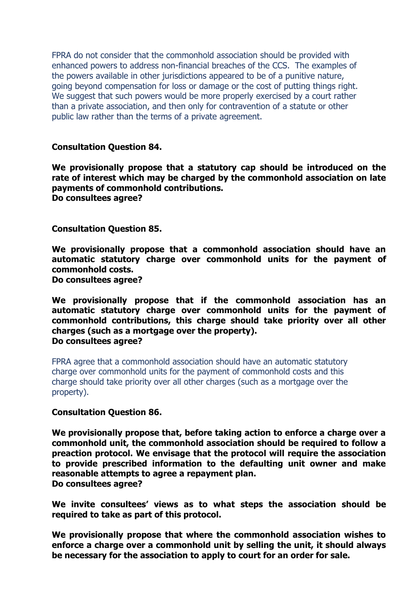FPRA do not consider that the commonhold association should be provided with enhanced powers to address non-financial breaches of the CCS. The examples of the powers available in other jurisdictions appeared to be of a punitive nature, going beyond compensation for loss or damage or the cost of putting things right. We suggest that such powers would be more properly exercised by a court rather than a private association, and then only for contravention of a statute or other public law rather than the terms of a private agreement.

#### **Consultation Question 84.**

**We provisionally propose that a statutory cap should be introduced on the rate of interest which may be charged by the commonhold association on late payments of commonhold contributions.** 

**Do consultees agree?** 

**Consultation Question 85.** 

**We provisionally propose that a commonhold association should have an automatic statutory charge over commonhold units for the payment of commonhold costs.** 

**Do consultees agree?** 

**We provisionally propose that if the commonhold association has an automatic statutory charge over commonhold units for the payment of commonhold contributions, this charge should take priority over all other charges (such as a mortgage over the property). Do consultees agree?** 

FPRA agree that a commonhold association should have an automatic statutory charge over commonhold units for the payment of commonhold costs and this charge should take priority over all other charges (such as a mortgage over the property).

#### **Consultation Question 86.**

**We provisionally propose that, before taking action to enforce a charge over a commonhold unit, the commonhold association should be required to follow a preaction protocol. We envisage that the protocol will require the association to provide prescribed information to the defaulting unit owner and make reasonable attempts to agree a repayment plan. Do consultees agree?** 

**We invite consultees' views as to what steps the association should be required to take as part of this protocol.** 

**We provisionally propose that where the commonhold association wishes to enforce a charge over a commonhold unit by selling the unit, it should always be necessary for the association to apply to court for an order for sale.**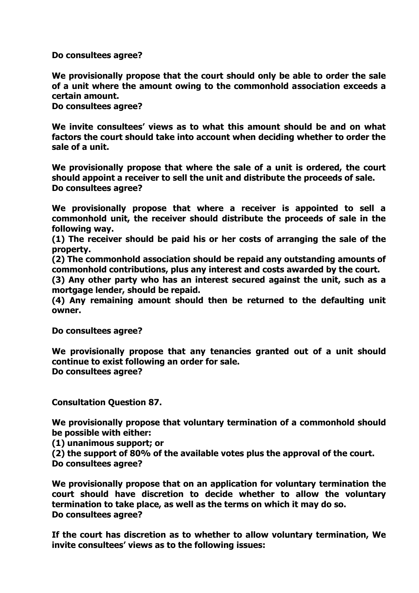**Do consultees agree?** 

**We provisionally propose that the court should only be able to order the sale of a unit where the amount owing to the commonhold association exceeds a certain amount.** 

**Do consultees agree?** 

**We invite consultees' views as to what this amount should be and on what factors the court should take into account when deciding whether to order the sale of a unit.** 

**We provisionally propose that where the sale of a unit is ordered, the court should appoint a receiver to sell the unit and distribute the proceeds of sale. Do consultees agree?** 

**We provisionally propose that where a receiver is appointed to sell a commonhold unit, the receiver should distribute the proceeds of sale in the following way.** 

**(1) The receiver should be paid his or her costs of arranging the sale of the property.** 

**(2) The commonhold association should be repaid any outstanding amounts of commonhold contributions, plus any interest and costs awarded by the court.** 

**(3) Any other party who has an interest secured against the unit, such as a mortgage lender, should be repaid.** 

**(4) Any remaining amount should then be returned to the defaulting unit owner.** 

**Do consultees agree?** 

**We provisionally propose that any tenancies granted out of a unit should continue to exist following an order for sale. Do consultees agree?** 

**Consultation Question 87.**

**We provisionally propose that voluntary termination of a commonhold should be possible with either:** 

**(1) unanimous support; or** 

**(2) the support of 80% of the available votes plus the approval of the court. Do consultees agree?** 

**We provisionally propose that on an application for voluntary termination the court should have discretion to decide whether to allow the voluntary termination to take place, as well as the terms on which it may do so. Do consultees agree?** 

**If the court has discretion as to whether to allow voluntary termination, We invite consultees' views as to the following issues:**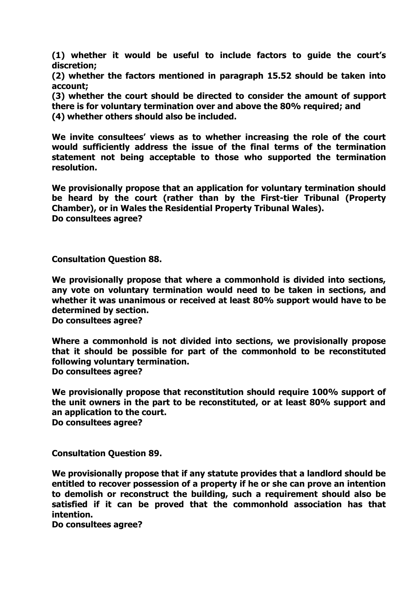**(1) whether it would be useful to include factors to guide the court's discretion;** 

**(2) whether the factors mentioned in paragraph 15.52 should be taken into account;** 

**(3) whether the court should be directed to consider the amount of support** 

**there is for voluntary termination over and above the 80% required; and** 

**(4) whether others should also be included.** 

**We invite consultees' views as to whether increasing the role of the court would sufficiently address the issue of the final terms of the termination statement not being acceptable to those who supported the termination resolution.** 

**We provisionally propose that an application for voluntary termination should be heard by the court (rather than by the First-tier Tribunal (Property Chamber), or in Wales the Residential Property Tribunal Wales). Do consultees agree?** 

**Consultation Question 88.** 

**We provisionally propose that where a commonhold is divided into sections, any vote on voluntary termination would need to be taken in sections, and whether it was unanimous or received at least 80% support would have to be determined by section.** 

**Do consultees agree?** 

**Where a commonhold is not divided into sections, we provisionally propose that it should be possible for part of the commonhold to be reconstituted following voluntary termination. Do consultees agree?**

**We provisionally propose that reconstitution should require 100% support of the unit owners in the part to be reconstituted, or at least 80% support and an application to the court. Do consultees agree?** 

**Consultation Question 89.** 

**We provisionally propose that if any statute provides that a landlord should be entitled to recover possession of a property if he or she can prove an intention to demolish or reconstruct the building, such a requirement should also be satisfied if it can be proved that the commonhold association has that intention.** 

**Do consultees agree?**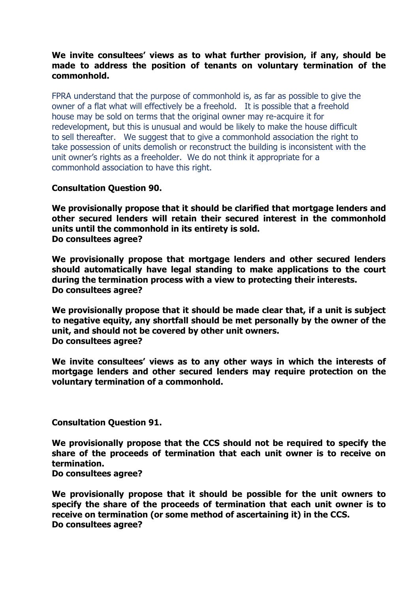## **We invite consultees' views as to what further provision, if any, should be made to address the position of tenants on voluntary termination of the commonhold.**

FPRA understand that the purpose of commonhold is, as far as possible to give the owner of a flat what will effectively be a freehold. It is possible that a freehold house may be sold on terms that the original owner may re-acquire it for redevelopment, but this is unusual and would be likely to make the house difficult to sell thereafter. We suggest that to give a commonhold association the right to take possession of units demolish or reconstruct the building is inconsistent with the unit owner's rights as a freeholder. We do not think it appropriate for a commonhold association to have this right.

# **Consultation Question 90.**

**We provisionally propose that it should be clarified that mortgage lenders and other secured lenders will retain their secured interest in the commonhold units until the commonhold in its entirety is sold. Do consultees agree?** 

**We provisionally propose that mortgage lenders and other secured lenders should automatically have legal standing to make applications to the court during the termination process with a view to protecting their interests. Do consultees agree?** 

**We provisionally propose that it should be made clear that, if a unit is subject to negative equity, any shortfall should be met personally by the owner of the unit, and should not be covered by other unit owners. Do consultees agree?** 

**We invite consultees' views as to any other ways in which the interests of mortgage lenders and other secured lenders may require protection on the voluntary termination of a commonhold.** 

**Consultation Question 91.** 

**We provisionally propose that the CCS should not be required to specify the share of the proceeds of termination that each unit owner is to receive on termination.** 

### **Do consultees agree?**

**We provisionally propose that it should be possible for the unit owners to specify the share of the proceeds of termination that each unit owner is to receive on termination (or some method of ascertaining it) in the CCS. Do consultees agree?**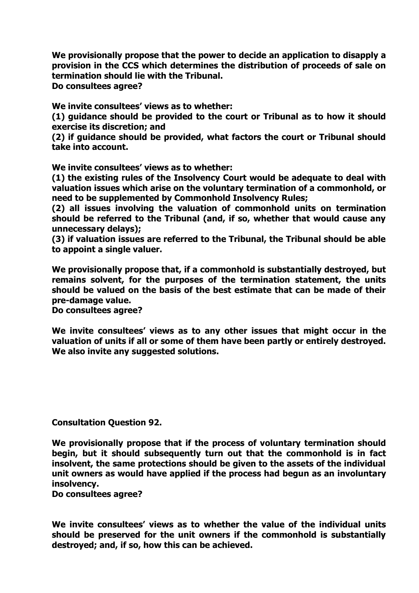**We provisionally propose that the power to decide an application to disapply a provision in the CCS which determines the distribution of proceeds of sale on termination should lie with the Tribunal.** 

**Do consultees agree?** 

**We invite consultees' views as to whether:** 

**(1) guidance should be provided to the court or Tribunal as to how it should exercise its discretion; and** 

**(2) if guidance should be provided, what factors the court or Tribunal should take into account.** 

**We invite consultees' views as to whether:** 

**(1) the existing rules of the Insolvency Court would be adequate to deal with valuation issues which arise on the voluntary termination of a commonhold, or need to be supplemented by Commonhold Insolvency Rules;** 

**(2) all issues involving the valuation of commonhold units on termination should be referred to the Tribunal (and, if so, whether that would cause any unnecessary delays);** 

**(3) if valuation issues are referred to the Tribunal, the Tribunal should be able to appoint a single valuer.** 

**We provisionally propose that, if a commonhold is substantially destroyed, but remains solvent, for the purposes of the termination statement, the units should be valued on the basis of the best estimate that can be made of their pre-damage value.** 

**Do consultees agree?** 

**We invite consultees' views as to any other issues that might occur in the valuation of units if all or some of them have been partly or entirely destroyed. We also invite any suggested solutions.** 

**Consultation Question 92.** 

**We provisionally propose that if the process of voluntary termination should begin, but it should subsequently turn out that the commonhold is in fact insolvent, the same protections should be given to the assets of the individual unit owners as would have applied if the process had begun as an involuntary insolvency.** 

**Do consultees agree?** 

**We invite consultees' views as to whether the value of the individual units should be preserved for the unit owners if the commonhold is substantially destroyed; and, if so, how this can be achieved.**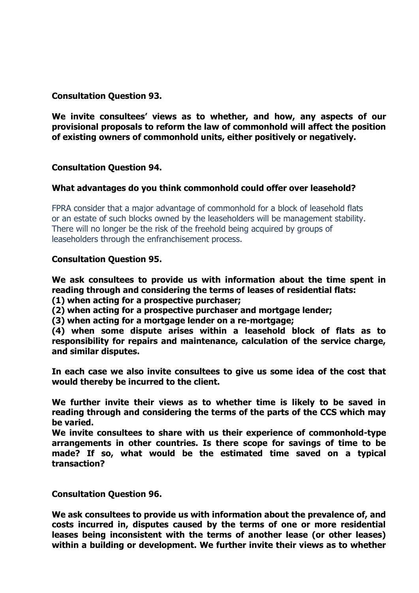## **Consultation Question 93.**

**We invite consultees' views as to whether, and how, any aspects of our provisional proposals to reform the law of commonhold will affect the position of existing owners of commonhold units, either positively or negatively.** 

## **Consultation Question 94.**

## **What advantages do you think commonhold could offer over leasehold?**

FPRA consider that a major advantage of commonhold for a block of leasehold flats or an estate of such blocks owned by the leaseholders will be management stability. There will no longer be the risk of the freehold being acquired by groups of leaseholders through the enfranchisement process.

## **Consultation Question 95.**

**We ask consultees to provide us with information about the time spent in reading through and considering the terms of leases of residential flats:** 

**(1) when acting for a prospective purchaser;** 

**(2) when acting for a prospective purchaser and mortgage lender;** 

**(3) when acting for a mortgage lender on a re-mortgage;** 

**(4) when some dispute arises within a leasehold block of flats as to responsibility for repairs and maintenance, calculation of the service charge, and similar disputes.** 

**In each case we also invite consultees to give us some idea of the cost that would thereby be incurred to the client.** 

**We further invite their views as to whether time is likely to be saved in reading through and considering the terms of the parts of the CCS which may be varied.** 

**We invite consultees to share with us their experience of commonhold-type arrangements in other countries. Is there scope for savings of time to be made? If so, what would be the estimated time saved on a typical transaction?** 

**Consultation Question 96.** 

**We ask consultees to provide us with information about the prevalence of, and costs incurred in, disputes caused by the terms of one or more residential leases being inconsistent with the terms of another lease (or other leases) within a building or development. We further invite their views as to whether**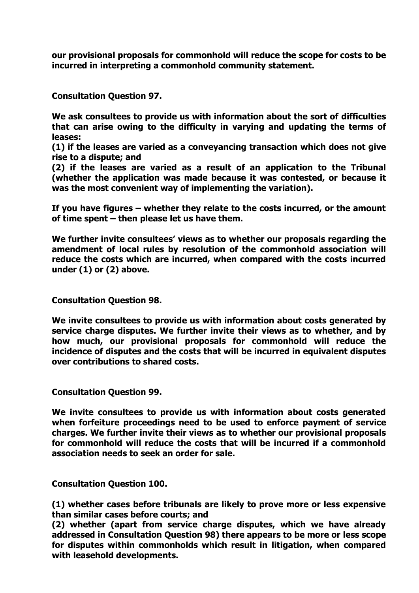**our provisional proposals for commonhold will reduce the scope for costs to be incurred in interpreting a commonhold community statement.** 

**Consultation Question 97.** 

**We ask consultees to provide us with information about the sort of difficulties that can arise owing to the difficulty in varying and updating the terms of leases:** 

**(1) if the leases are varied as a conveyancing transaction which does not give rise to a dispute; and** 

**(2) if the leases are varied as a result of an application to the Tribunal (whether the application was made because it was contested, or because it was the most convenient way of implementing the variation).** 

**If you have figures – whether they relate to the costs incurred, or the amount of time spent – then please let us have them.** 

**We further invite consultees' views as to whether our proposals regarding the amendment of local rules by resolution of the commonhold association will reduce the costs which are incurred, when compared with the costs incurred under (1) or (2) above.** 

**Consultation Question 98.** 

**We invite consultees to provide us with information about costs generated by service charge disputes. We further invite their views as to whether, and by how much, our provisional proposals for commonhold will reduce the incidence of disputes and the costs that will be incurred in equivalent disputes over contributions to shared costs.** 

**Consultation Question 99.** 

**We invite consultees to provide us with information about costs generated when forfeiture proceedings need to be used to enforce payment of service charges. We further invite their views as to whether our provisional proposals for commonhold will reduce the costs that will be incurred if a commonhold association needs to seek an order for sale.** 

**Consultation Question 100.** 

**(1) whether cases before tribunals are likely to prove more or less expensive than similar cases before courts; and** 

**(2) whether (apart from service charge disputes, which we have already addressed in Consultation Question 98) there appears to be more or less scope for disputes within commonholds which result in litigation, when compared with leasehold developments.**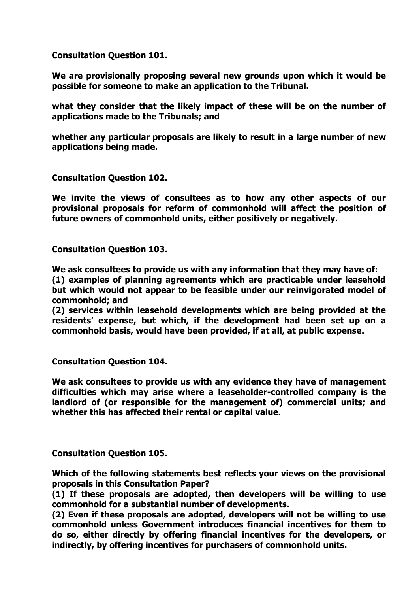**Consultation Question 101.** 

**We are provisionally proposing several new grounds upon which it would be possible for someone to make an application to the Tribunal.** 

**what they consider that the likely impact of these will be on the number of applications made to the Tribunals; and** 

**whether any particular proposals are likely to result in a large number of new applications being made.** 

**Consultation Question 102.** 

**We invite the views of consultees as to how any other aspects of our provisional proposals for reform of commonhold will affect the position of future owners of commonhold units, either positively or negatively.** 

**Consultation Question 103.** 

**We ask consultees to provide us with any information that they may have of:**

**(1) examples of planning agreements which are practicable under leasehold but which would not appear to be feasible under our reinvigorated model of commonhold; and** 

**(2) services within leasehold developments which are being provided at the residents' expense, but which, if the development had been set up on a commonhold basis, would have been provided, if at all, at public expense.** 

**Consultation Question 104.**

**We ask consultees to provide us with any evidence they have of management difficulties which may arise where a leaseholder-controlled company is the landlord of (or responsible for the management of) commercial units; and whether this has affected their rental or capital value.** 

**Consultation Question 105.** 

**Which of the following statements best reflects your views on the provisional proposals in this Consultation Paper?** 

**(1) If these proposals are adopted, then developers will be willing to use commonhold for a substantial number of developments.** 

**(2) Even if these proposals are adopted, developers will not be willing to use commonhold unless Government introduces financial incentives for them to do so, either directly by offering financial incentives for the developers, or indirectly, by offering incentives for purchasers of commonhold units.**